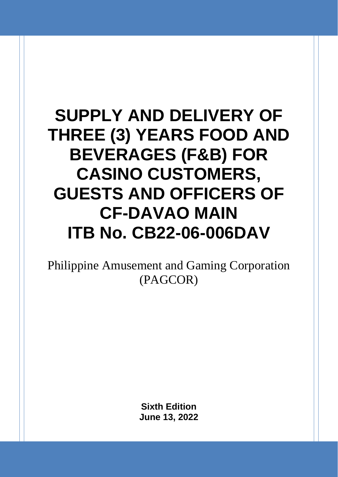# **SUPPLY AND DELIVERY OF THREE (3) YEARS FOOD AND BEVERAGES (F&B) FOR CASINO CUSTOMERS, GUESTS AND OFFICERS OF CF-DAVAO MAIN ITB No. CB22-06-006DAV**

Philippine Amusement and Gaming Corporation (PAGCOR)

> **Sixth Edition June 13, 2022**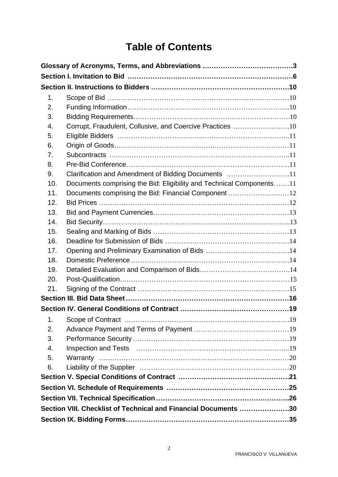# **Table of Contents**

| 1.  |                                                                      |  |
|-----|----------------------------------------------------------------------|--|
| 2.  |                                                                      |  |
| 3.  |                                                                      |  |
| 4.  | Corrupt, Fraudulent, Collusive, and Coercive Practices 10            |  |
| 5.  |                                                                      |  |
| 6.  |                                                                      |  |
| 7.  |                                                                      |  |
| 8.  |                                                                      |  |
| 9.  | Clarification and Amendment of Bidding Documents 11                  |  |
| 10. | Documents comprising the Bid: Eligibility and Technical Components11 |  |
| 11. | Documents comprising the Bid: Financial Component 12                 |  |
| 12. |                                                                      |  |
| 13. |                                                                      |  |
| 14. |                                                                      |  |
| 15. |                                                                      |  |
| 16. |                                                                      |  |
| 17. |                                                                      |  |
| 18. |                                                                      |  |
| 19. |                                                                      |  |
| 20. |                                                                      |  |
| 21. |                                                                      |  |
|     |                                                                      |  |
|     |                                                                      |  |
| 1.  |                                                                      |  |
| 2.  |                                                                      |  |
| 3.  |                                                                      |  |
| 4.  |                                                                      |  |
| 5.  |                                                                      |  |
| 6.  |                                                                      |  |
|     |                                                                      |  |
|     |                                                                      |  |
|     |                                                                      |  |
|     | Section VIII. Checklist of Technical and Financial Documents 30      |  |
|     |                                                                      |  |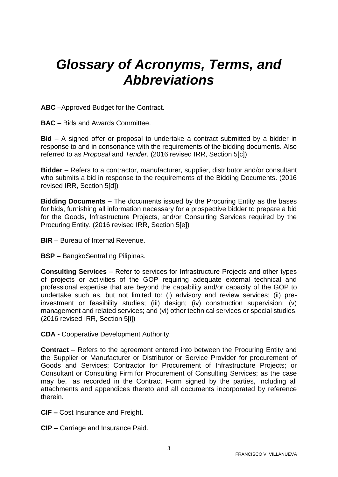# <span id="page-2-0"></span>*Glossary of Acronyms, Terms, and Abbreviations*

**ABC** –Approved Budget for the Contract.

**BAC** – Bids and Awards Committee.

**Bid** – A signed offer or proposal to undertake a contract submitted by a bidder in response to and in consonance with the requirements of the bidding documents. Also referred to as *Proposal* and *Tender.* (2016 revised IRR, Section 5[c])

**Bidder** – Refers to a contractor, manufacturer, supplier, distributor and/or consultant who submits a bid in response to the requirements of the Bidding Documents. (2016 revised IRR, Section 5[d])

**Bidding Documents –** The documents issued by the Procuring Entity as the bases for bids, furnishing all information necessary for a prospective bidder to prepare a bid for the Goods, Infrastructure Projects, and/or Consulting Services required by the Procuring Entity. (2016 revised IRR, Section 5[e])

- **BIR**  Bureau of Internal Revenue.
- **BSP** BangkoSentral ng Pilipinas.

**Consulting Services** – Refer to services for Infrastructure Projects and other types of projects or activities of the GOP requiring adequate external technical and professional expertise that are beyond the capability and/or capacity of the GOP to undertake such as, but not limited to: (i) advisory and review services; (ii) preinvestment or feasibility studies; (iii) design; (iv) construction supervision; (v) management and related services; and (vi) other technical services or special studies. (2016 revised IRR, Section 5[i])

**CDA -** Cooperative Development Authority.

**Contract** – Refers to the agreement entered into between the Procuring Entity and the Supplier or Manufacturer or Distributor or Service Provider for procurement of Goods and Services; Contractor for Procurement of Infrastructure Projects; or Consultant or Consulting Firm for Procurement of Consulting Services; as the case may be, as recorded in the Contract Form signed by the parties, including all attachments and appendices thereto and all documents incorporated by reference therein.

**CIF –** Cost Insurance and Freight.

**CIP –** Carriage and Insurance Paid.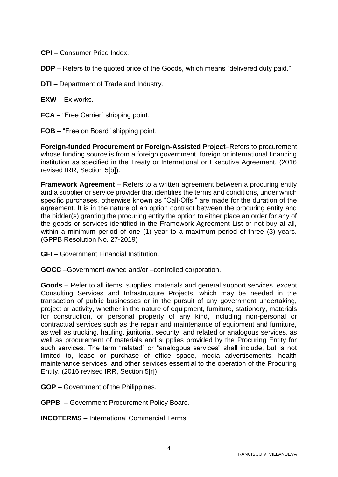- **CPI –** Consumer Price Index.
- **DDP** Refers to the quoted price of the Goods, which means "delivered duty paid."
- **DTI**  Department of Trade and Industry.
- **EXW** Ex works.
- **FCA** "Free Carrier" shipping point.
- **FOB** "Free on Board" shipping point.

**Foreign-funded Procurement or Foreign-Assisted Project**–Refers to procurement whose funding source is from a foreign government, foreign or international financing institution as specified in the Treaty or International or Executive Agreement. (2016 revised IRR, Section 5[b]).

**Framework Agreement** – Refers to a written agreement between a procuring entity and a supplier or service provider that identifies the terms and conditions, under which specific purchases, otherwise known as "Call-Offs," are made for the duration of the agreement. It is in the nature of an option contract between the procuring entity and the bidder(s) granting the procuring entity the option to either place an order for any of the goods or services identified in the Framework Agreement List or not buy at all, within a minimum period of one (1) year to a maximum period of three (3) years. (GPPB Resolution No. 27-2019)

- **GFI**  Government Financial Institution.
- **GOCC** –Government-owned and/or –controlled corporation.

**Goods** – Refer to all items, supplies, materials and general support services, except Consulting Services and Infrastructure Projects, which may be needed in the transaction of public businesses or in the pursuit of any government undertaking, project or activity, whether in the nature of equipment, furniture, stationery, materials for construction, or personal property of any kind, including non-personal or contractual services such as the repair and maintenance of equipment and furniture, as well as trucking, hauling, janitorial, security, and related or analogous services, as well as procurement of materials and supplies provided by the Procuring Entity for such services. The term "related" or "analogous services" shall include, but is not limited to, lease or purchase of office space, media advertisements, health maintenance services, and other services essential to the operation of the Procuring Entity. (2016 revised IRR, Section 5[r])

**GOP** – Government of the Philippines.

**GPPB** – Government Procurement Policy Board.

**INCOTERMS –** International Commercial Terms.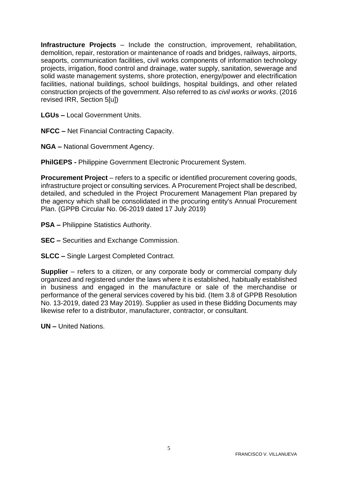**Infrastructure Projects** – Include the construction, improvement, rehabilitation, demolition, repair, restoration or maintenance of roads and bridges, railways, airports, seaports, communication facilities, civil works components of information technology projects, irrigation, flood control and drainage, water supply, sanitation, sewerage and solid waste management systems, shore protection, energy/power and electrification facilities, national buildings, school buildings, hospital buildings, and other related construction projects of the government. Also referred to as *civil works or works*. (2016 revised IRR, Section 5[u])

**LGUs –** Local Government Units.

**NFCC –** Net Financial Contracting Capacity.

**NGA –** National Government Agency.

**PhilGEPS -** Philippine Government Electronic Procurement System.

**Procurement Project** – refers to a specific or identified procurement covering goods, infrastructure project or consulting services. A Procurement Project shall be described, detailed, and scheduled in the Project Procurement Management Plan prepared by the agency which shall be consolidated in the procuring entity's Annual Procurement Plan. (GPPB Circular No. 06-2019 dated 17 July 2019)

- **PSA –** Philippine Statistics Authority.
- **SEC –** Securities and Exchange Commission.
- **SLCC –** Single Largest Completed Contract.

**Supplier** – refers to a citizen, or any corporate body or commercial company duly organized and registered under the laws where it is established, habitually established in business and engaged in the manufacture or sale of the merchandise or performance of the general services covered by his bid. (Item 3.8 of GPPB Resolution No. 13-2019, dated 23 May 2019). Supplier as used in these Bidding Documents may likewise refer to a distributor, manufacturer, contractor, or consultant.

**UN –** United Nations.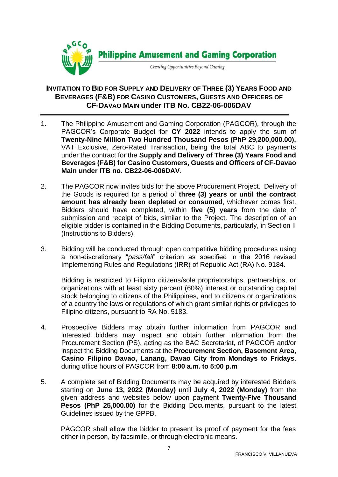

### **INVITATION TO BID FOR SUPPLY AND DELIVERY OF THREE (3) YEARS FOOD AND BEVERAGES (F&B) FOR CASINO CUSTOMERS, GUESTS AND OFFICERS OF CF-DAVAO MAIN under ITB No. CB22-06-006DAV**

- 1. The Philippine Amusement and Gaming Corporation (PAGCOR)*,* through the PAGCOR's Corporate Budget for **CY 2022** intends to apply the sum of **Twenty-Nine Million Two Hundred Thousand Pesos (PhP 29,200,000.00),**  VAT Exclusive, Zero-Rated Transaction, being the total ABC to payments under the contract for the **Supply and Delivery of Three (3) Years Food and Beverages (F&B) for Casino Customers, Guests and Officers of CF-Davao Main under ITB no. CB22-06-006DAV**.
- 2. The PAGCOR now invites bids for the above Procurement Project. Delivery of the Goods is required for a period of **three (3) years or until the contract amount has already been depleted or consumed**, whichever comes first. Bidders should have completed, within **five (5) years** from the date of submission and receipt of bids, similar to the Project. The description of an eligible bidder is contained in the Bidding Documents, particularly, in Section II (Instructions to Bidders).
- 3. Bidding will be conducted through open competitive bidding procedures using a non-discretionary "*pass/fail*" criterion as specified in the 2016 revised Implementing Rules and Regulations (IRR) of Republic Act (RA) No. 9184.

Bidding is restricted to Filipino citizens/sole proprietorships, partnerships, or organizations with at least sixty percent (60%) interest or outstanding capital stock belonging to citizens of the Philippines, and to citizens or organizations of a country the laws or regulations of which grant similar rights or privileges to Filipino citizens, pursuant to RA No. 5183.

- 4. Prospective Bidders may obtain further information from PAGCOR and interested bidders may inspect and obtain further information from the Procurement Section (PS), acting as the BAC Secretariat, of PAGCOR and/or inspect the Bidding Documents at the **Procurement Section, Basement Area, Casino Filipino Davao, Lanang, Davao City from Mondays to Fridays**, during office hours of PAGCOR from **8:00 a.m. to 5:00 p.m**
- 5. A complete set of Bidding Documents may be acquired by interested Bidders starting on **June 13, 2022 (Monday)** until **July 4, 2022 (Monday)** from the given address and websites below upon payment **Twenty-Five Thousand Pesos (PhP 25,000.00)** for the Bidding Documents, pursuant to the latest Guidelines issued by the GPPB.

PAGCOR shall allow the bidder to present its proof of payment for the fees either in person, by facsimile, or through electronic means.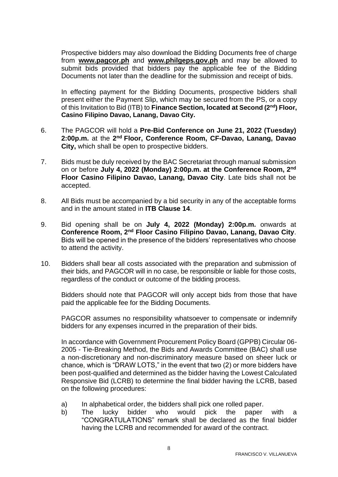Prospective bidders may also download the Bidding Documents free of charge from **[www.pagcor.ph](http://www.pagcor.ph/)** and **www.philgeps.gov.ph** and may be allowed to submit bids provided that bidders pay the applicable fee of the Bidding Documents not later than the deadline for the submission and receipt of bids.

In effecting payment for the Bidding Documents, prospective bidders shall present either the Payment Slip, which may be secured from the PS, or a copy of this Invitation to Bid (ITB) to **Finance Section, located at Second (2nd) Floor, Casino Filipino Davao, Lanang, Davao City.**

- 6. The PAGCOR will hold a **Pre-Bid Conference on June 21, 2022 (Tuesday)**  2:00p.m. at the 2<sup>nd</sup> Floor, Conference Room, CF-Davao, Lanang, Davao **City,** which shall be open to prospective bidders.
- 7. Bids must be duly received by the BAC Secretariat through manual submission on or before **July 4, 2022 (Monday) 2:00p.m. at the Conference Room, 2nd Floor Casino Filipino Davao, Lanang, Davao City**. Late bids shall not be accepted.
- 8. All Bids must be accompanied by a bid security in any of the acceptable forms and in the amount stated in **ITB Clause 14**.
- 9. Bid opening shall be on **July 4, 2022 (Monday) 2:00p.m.** onwards at **Conference Room, 2nd Floor Casino Filipino Davao, Lanang, Davao City**. Bids will be opened in the presence of the bidders' representatives who choose to attend the activity.
- 10. Bidders shall bear all costs associated with the preparation and submission of their bids, and PAGCOR will in no case, be responsible or liable for those costs, regardless of the conduct or outcome of the bidding process.

Bidders should note that PAGCOR will only accept bids from those that have paid the applicable fee for the Bidding Documents.

PAGCOR assumes no responsibility whatsoever to compensate or indemnify bidders for any expenses incurred in the preparation of their bids.

In accordance with Government Procurement Policy Board (GPPB) Circular 06- 2005 - Tie-Breaking Method, the Bids and Awards Committee (BAC) shall use a non-discretionary and non-discriminatory measure based on sheer luck or chance, which is "DRAW LOTS," in the event that two (2) or more bidders have been post-qualified and determined as the bidder having the Lowest Calculated Responsive Bid (LCRB) to determine the final bidder having the LCRB, based on the following procedures:

- a) In alphabetical order, the bidders shall pick one rolled paper.
- b) The lucky bidder who would pick the paper with a "CONGRATULATIONS" remark shall be declared as the final bidder having the LCRB and recommended for award of the contract.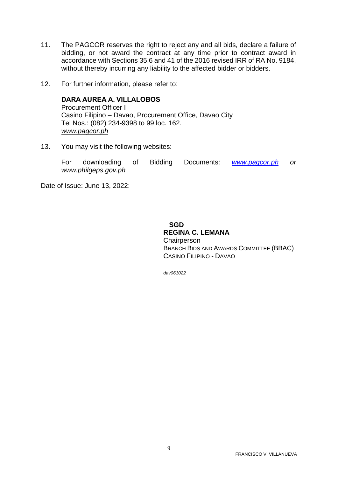- 11. The PAGCOR reserves the right to reject any and all bids, declare a failure of bidding, or not award the contract at any time prior to contract award in accordance with Sections 35.6 and 41 of the 2016 revised IRR of RA No. 9184, without thereby incurring any liability to the affected bidder or bidders.
- 12. For further information, please refer to:

**DARA AUREA A. VILLALOBOS** Procurement Officer I Casino Filipino – Davao, Procurement Office, Davao City Tel Nos.: (082) 234-9398 to 99 loc. 162. *[www.pagcor.ph](http://www.pagcor.ph/)*

13. You may visit the following websites:

For downloading of Bidding Documents: *[www.pagcor.ph](http://www.pagcor.ph/) or www.philgeps.gov.ph*

Date of Issue: June 13, 2022:

 **SGD REGINA C. LEMANA Chairperson** BRANCH BIDS AND AWARDS COMMITTEE (BBAC) CASINO FILIPINO - DAVAO

*dav061022*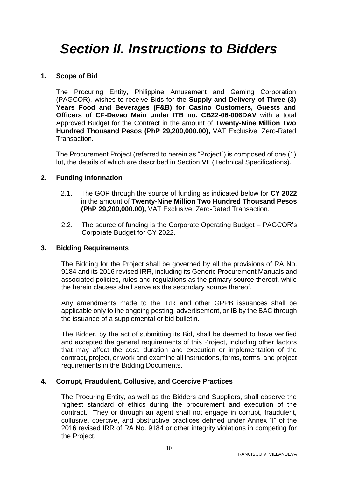# <span id="page-9-0"></span>*Section II. Instructions to Bidders*

#### <span id="page-9-1"></span>**1. Scope of Bid**

The Procuring Entity, Philippine Amusement and Gaming Corporation (PAGCOR), wishes to receive Bids for the **Supply and Delivery of Three (3) Years Food and Beverages (F&B) for Casino Customers, Guests and Officers of CF-Davao Main under ITB no. CB22-06-006DAV** with a total Approved Budget for the Contract in the amount of **Twenty-Nine Million Two Hundred Thousand Pesos (PhP 29,200,000.00),** VAT Exclusive, Zero-Rated Transaction.

The Procurement Project (referred to herein as "Project") is composed of one (1) lot, the details of which are described in Section VII (Technical Specifications).

#### <span id="page-9-2"></span>**2. Funding Information**

- 2.1. The GOP through the source of funding as indicated below for **CY 2022** in the amount of **Twenty-Nine Million Two Hundred Thousand Pesos (PhP 29,200,000.00),** VAT Exclusive, Zero-Rated Transaction.
- 2.2. The source of funding is the Corporate Operating Budget PAGCOR's Corporate Budget for CY 2022.

#### <span id="page-9-3"></span>**3. Bidding Requirements**

The Bidding for the Project shall be governed by all the provisions of RA No. 9184 and its 2016 revised IRR, including its Generic Procurement Manuals and associated policies, rules and regulations as the primary source thereof, while the herein clauses shall serve as the secondary source thereof.

Any amendments made to the IRR and other GPPB issuances shall be applicable only to the ongoing posting, advertisement, or **IB** by the BAC through the issuance of a supplemental or bid bulletin.

The Bidder, by the act of submitting its Bid, shall be deemed to have verified and accepted the general requirements of this Project, including other factors that may affect the cost, duration and execution or implementation of the contract, project, or work and examine all instructions, forms, terms, and project requirements in the Bidding Documents.

#### <span id="page-9-4"></span>**4. Corrupt, Fraudulent, Collusive, and Coercive Practices**

The Procuring Entity, as well as the Bidders and Suppliers, shall observe the highest standard of ethics during the procurement and execution of the contract. They or through an agent shall not engage in corrupt, fraudulent, collusive, coercive, and obstructive practices defined under Annex "I" of the 2016 revised IRR of RA No. 9184 or other integrity violations in competing for the Project.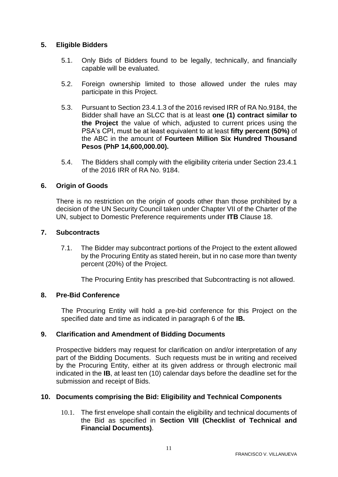#### <span id="page-10-0"></span>**5. Eligible Bidders**

- 5.1. Only Bids of Bidders found to be legally, technically, and financially capable will be evaluated.
- 5.2. Foreign ownership limited to those allowed under the rules may participate in this Project.
- 5.3. Pursuant to Section 23.4.1.3 of the 2016 revised IRR of RA No.9184, the Bidder shall have an SLCC that is at least **one (1) contract similar to the Project** the value of which, adjusted to current prices using the PSA's CPI, must be at least equivalent to at least **fifty percent (50%)** of the ABC in the amount of **Fourteen Million Six Hundred Thousand Pesos (PhP 14,600,000.00).**
- 5.4. The Bidders shall comply with the eligibility criteria under Section 23.4.1 of the 2016 IRR of RA No. 9184.

#### <span id="page-10-1"></span>**6. Origin of Goods**

There is no restriction on the origin of goods other than those prohibited by a decision of the UN Security Council taken under Chapter VII of the Charter of the UN, subject to Domestic Preference requirements under **ITB** Clause 18.

#### <span id="page-10-2"></span>**7. Subcontracts**

7.1. The Bidder may subcontract portions of the Project to the extent allowed by the Procuring Entity as stated herein, but in no case more than twenty percent (20%) of the Project.

The Procuring Entity has prescribed that Subcontracting is not allowed.

#### <span id="page-10-3"></span>**8. Pre-Bid Conference**

The Procuring Entity will hold a pre-bid conference for this Project on the specified date and time as indicated in paragraph 6 of the **IB.**

#### <span id="page-10-4"></span>**9. Clarification and Amendment of Bidding Documents**

Prospective bidders may request for clarification on and/or interpretation of any part of the Bidding Documents. Such requests must be in writing and received by the Procuring Entity, either at its given address or through electronic mail indicated in the **IB**, at least ten (10) calendar days before the deadline set for the submission and receipt of Bids.

#### <span id="page-10-5"></span>**10. Documents comprising the Bid: Eligibility and Technical Components**

10.1. The first envelope shall contain the eligibility and technical documents of the Bid as specified in **Section VIII (Checklist of Technical and Financial Documents)**.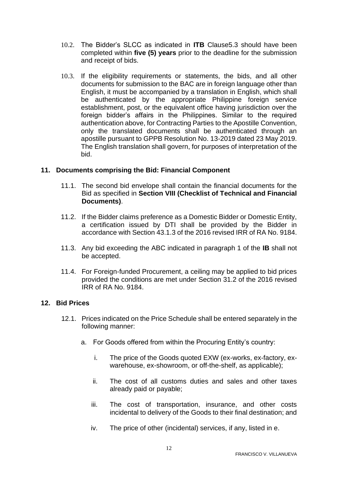- 10.2. The Bidder's SLCC as indicated in **ITB** Clause5.3 should have been completed within **five (5) years** prior to the deadline for the submission and receipt of bids.
- 10.3. If the eligibility requirements or statements, the bids, and all other documents for submission to the BAC are in foreign language other than English, it must be accompanied by a translation in English, which shall be authenticated by the appropriate Philippine foreign service establishment, post, or the equivalent office having jurisdiction over the foreign bidder's affairs in the Philippines. Similar to the required authentication above, for Contracting Parties to the Apostille Convention, only the translated documents shall be authenticated through an apostille pursuant to GPPB Resolution No. 13-2019 dated 23 May 2019. The English translation shall govern, for purposes of interpretation of the bid.

#### <span id="page-11-0"></span>**11. Documents comprising the Bid: Financial Component**

- 11.1. The second bid envelope shall contain the financial documents for the Bid as specified in **Section VIII (Checklist of Technical and Financial Documents)**.
- 11.2. If the Bidder claims preference as a Domestic Bidder or Domestic Entity, a certification issued by DTI shall be provided by the Bidder in accordance with Section 43.1.3 of the 2016 revised IRR of RA No. 9184.
- 11.3. Any bid exceeding the ABC indicated in paragraph 1 of the **IB** shall not be accepted.
- 11.4. For Foreign-funded Procurement, a ceiling may be applied to bid prices provided the conditions are met under Section 31.2 of the 2016 revised IRR of RA No. 9184.

#### <span id="page-11-1"></span>**12. Bid Prices**

- 12.1. Prices indicated on the Price Schedule shall be entered separately in the following manner:
	- a. For Goods offered from within the Procuring Entity's country:
		- i. The price of the Goods quoted EXW (ex-works, ex-factory, exwarehouse, ex-showroom, or off-the-shelf, as applicable);
		- ii. The cost of all customs duties and sales and other taxes already paid or payable;
		- iii. The cost of transportation, insurance, and other costs incidental to delivery of the Goods to their final destination; and
		- iv. The price of other (incidental) services, if any, listed in e.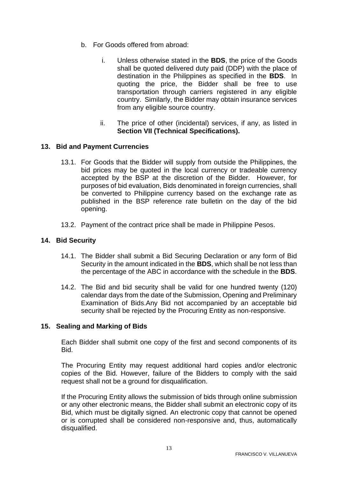- b. For Goods offered from abroad:
	- i. Unless otherwise stated in the **BDS**, the price of the Goods shall be quoted delivered duty paid (DDP) with the place of destination in the Philippines as specified in the **BDS**. In quoting the price, the Bidder shall be free to use transportation through carriers registered in any eligible country. Similarly, the Bidder may obtain insurance services from any eligible source country.
	- ii. The price of other (incidental) services, if any, as listed in **Section VII (Technical Specifications).**

#### <span id="page-12-0"></span>**13. Bid and Payment Currencies**

- 13.1. For Goods that the Bidder will supply from outside the Philippines, the bid prices may be quoted in the local currency or tradeable currency accepted by the BSP at the discretion of the Bidder. However, for purposes of bid evaluation, Bids denominated in foreign currencies, shall be converted to Philippine currency based on the exchange rate as published in the BSP reference rate bulletin on the day of the bid opening.
- 13.2. Payment of the contract price shall be made in Philippine Pesos.

#### <span id="page-12-1"></span>**14. Bid Security**

- 14.1. The Bidder shall submit a Bid Securing Declaration or any form of Bid Security in the amount indicated in the **BDS**, which shall be not less than the percentage of the ABC in accordance with the schedule in the **BDS**.
- 14.2. The Bid and bid security shall be valid for one hundred twenty (120) calendar days from the date of the Submission, Opening and Preliminary Examination of Bids.Any Bid not accompanied by an acceptable bid security shall be rejected by the Procuring Entity as non-responsive.

#### <span id="page-12-2"></span>**15. Sealing and Marking of Bids**

Each Bidder shall submit one copy of the first and second components of its Bid.

The Procuring Entity may request additional hard copies and/or electronic copies of the Bid. However, failure of the Bidders to comply with the said request shall not be a ground for disqualification.

If the Procuring Entity allows the submission of bids through online submission or any other electronic means, the Bidder shall submit an electronic copy of its Bid, which must be digitally signed. An electronic copy that cannot be opened or is corrupted shall be considered non-responsive and, thus, automatically disqualified.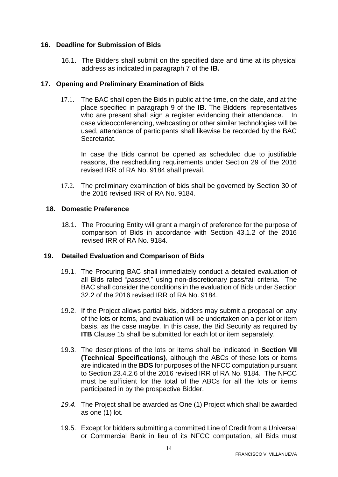#### <span id="page-13-0"></span>**16. Deadline for Submission of Bids**

16.1. The Bidders shall submit on the specified date and time at its physical address as indicated in paragraph 7 of the **IB.** 

#### <span id="page-13-1"></span>**17. Opening and Preliminary Examination of Bids**

17.1. The BAC shall open the Bids in public at the time, on the date, and at the place specified in paragraph 9 of the **IB**. The Bidders' representatives who are present shall sign a register evidencing their attendance. In case videoconferencing, webcasting or other similar technologies will be used, attendance of participants shall likewise be recorded by the BAC Secretariat.

In case the Bids cannot be opened as scheduled due to justifiable reasons, the rescheduling requirements under Section 29 of the 2016 revised IRR of RA No. 9184 shall prevail.

17.2. The preliminary examination of bids shall be governed by Section 30 of the 2016 revised IRR of RA No. 9184.

#### <span id="page-13-2"></span>**18. Domestic Preference**

18.1. The Procuring Entity will grant a margin of preference for the purpose of comparison of Bids in accordance with Section 43.1.2 of the 2016 revised IRR of RA No. 9184.

#### <span id="page-13-3"></span>**19. Detailed Evaluation and Comparison of Bids**

- 19.1. The Procuring BAC shall immediately conduct a detailed evaluation of all Bids rated "*passed*," using non-discretionary pass/fail criteria. The BAC shall consider the conditions in the evaluation of Bids under Section 32.2 of the 2016 revised IRR of RA No. 9184.
- 19.2. If the Project allows partial bids, bidders may submit a proposal on any of the lots or items, and evaluation will be undertaken on a per lot or item basis, as the case maybe. In this case, the Bid Security as required by **ITB** Clause 15 shall be submitted for each lot or item separately.
- 19.3. The descriptions of the lots or items shall be indicated in **Section VII (Technical Specifications)**, although the ABCs of these lots or items are indicated in the **BDS** for purposes of the NFCC computation pursuant to Section 23.4.2.6 of the 2016 revised IRR of RA No. 9184. The NFCC must be sufficient for the total of the ABCs for all the lots or items participated in by the prospective Bidder.
- *19.4.* The Project shall be awarded as One (1) Project which shall be awarded as one (1) lot.
- 19.5. Except for bidders submitting a committed Line of Credit from a Universal or Commercial Bank in lieu of its NFCC computation, all Bids must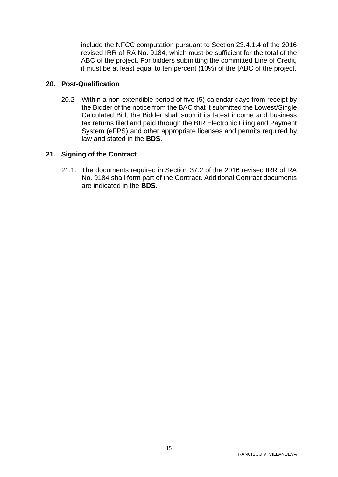include the NFCC computation pursuant to Section 23.4.1.4 of the 2016 revised IRR of RA No. 9184, which must be sufficient for the total of the ABC of the project. For bidders submitting the committed Line of Credit, it must be at least equal to ten percent (10%) of the [ABC of the project.

#### <span id="page-14-0"></span>**20. Post-Qualification**

20.2 Within a non-extendible period of five (5) calendar days from receipt by the Bidder of the notice from the BAC that it submitted the Lowest/Single Calculated Bid, the Bidder shall submit its latest income and business tax returns filed and paid through the BIR Electronic Filing and Payment System (eFPS) and other appropriate licenses and permits required by law and stated in the **BDS**.

#### <span id="page-14-1"></span>**21. Signing of the Contract**

21.1. The documents required in Section 37.2 of the 2016 revised IRR of RA No. 9184 shall form part of the Contract. Additional Contract documents are indicated in the **BDS**.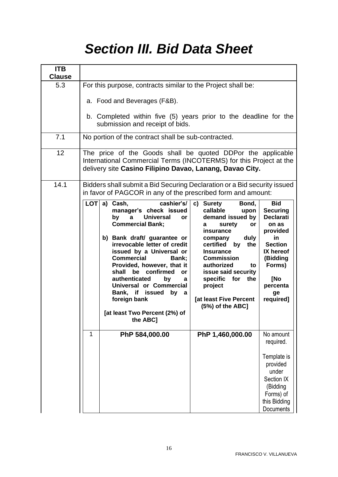# *Section III. Bid Data Sheet*

<span id="page-15-0"></span>

| <b>ITB</b><br><b>Clause</b> |                                                                                                                                                                                                                                                                                                                                                                                                                                                                                                                                                                                                                                                                                                                                                                                                                |                                                                                                                                                                         |  |  |
|-----------------------------|----------------------------------------------------------------------------------------------------------------------------------------------------------------------------------------------------------------------------------------------------------------------------------------------------------------------------------------------------------------------------------------------------------------------------------------------------------------------------------------------------------------------------------------------------------------------------------------------------------------------------------------------------------------------------------------------------------------------------------------------------------------------------------------------------------------|-------------------------------------------------------------------------------------------------------------------------------------------------------------------------|--|--|
| 5.3                         | For this purpose, contracts similar to the Project shall be:                                                                                                                                                                                                                                                                                                                                                                                                                                                                                                                                                                                                                                                                                                                                                   |                                                                                                                                                                         |  |  |
|                             | a. Food and Beverages (F&B).<br>b. Completed within five (5) years prior to the deadline for the<br>submission and receipt of bids.                                                                                                                                                                                                                                                                                                                                                                                                                                                                                                                                                                                                                                                                            |                                                                                                                                                                         |  |  |
| 7.1                         | No portion of the contract shall be sub-contracted.                                                                                                                                                                                                                                                                                                                                                                                                                                                                                                                                                                                                                                                                                                                                                            |                                                                                                                                                                         |  |  |
| 12                          | The price of the Goods shall be quoted DDPor the applicable<br>International Commercial Terms (INCOTERMS) for this Project at the<br>delivery site Casino Filipino Davao, Lanang, Davao City.                                                                                                                                                                                                                                                                                                                                                                                                                                                                                                                                                                                                                  |                                                                                                                                                                         |  |  |
| 14.1                        | Bidders shall submit a Bid Securing Declaration or a Bid security issued<br>in favor of PAGCOR in any of the prescribed form and amount:                                                                                                                                                                                                                                                                                                                                                                                                                                                                                                                                                                                                                                                                       |                                                                                                                                                                         |  |  |
|                             | <b>LOT</b><br>cashier's/   c) Surety<br>a) Cash,<br>Bond,<br>manager's check issued<br>callable<br>upon<br>demand issued by<br>$\mathbf{a}$<br><b>Universal</b><br>by<br>or<br><b>Commercial Bank;</b><br>surety<br><b>or</b><br>a<br>insurance<br>b) Bank draft/ guarantee or<br>duly<br>company<br>irrevocable letter of credit<br>certified<br>the $ $<br>by<br>issued by a Universal or<br><b>Insurance</b><br><b>Commercial</b><br><b>Commission</b><br>Bank;<br>Provided, however, that it<br>authorized<br>to<br>shall be confirmed<br>issue said security<br><b>or</b><br>authenticated<br>specific for the<br>by<br>a<br>Universal or Commercial<br>project<br>Bank, if issued by a<br>foreign bank<br><b>[at least Five Percent</b><br>(5%) of the ABC]<br>[at least Two Percent (2%) of<br>the ABC] | <b>Bid</b><br><b>Securing</b><br><b>Declarati</b><br>on as<br>provided<br>in<br><b>Section</b><br>IX hereof<br>(Bidding<br>Forms)<br>[No<br>percenta<br>ge<br>required] |  |  |
|                             | PhP 584,000.00<br>PhP 1,460,000.00<br>1                                                                                                                                                                                                                                                                                                                                                                                                                                                                                                                                                                                                                                                                                                                                                                        | No amount<br>required.<br>Template is<br>provided<br>under<br>Section IX<br>(Bidding<br>Forms) of<br>this Bidding<br>Documents                                          |  |  |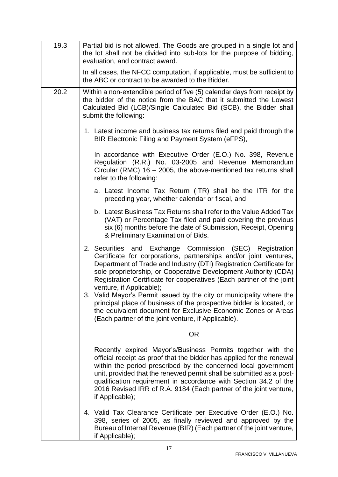| 19.3 | Partial bid is not allowed. The Goods are grouped in a single lot and<br>the lot shall not be divided into sub-lots for the purpose of bidding,<br>evaluation, and contract award.                                                                                                                                                                                                                                                         |  |  |  |  |
|------|--------------------------------------------------------------------------------------------------------------------------------------------------------------------------------------------------------------------------------------------------------------------------------------------------------------------------------------------------------------------------------------------------------------------------------------------|--|--|--|--|
|      | In all cases, the NFCC computation, if applicable, must be sufficient to<br>the ABC or contract to be awarded to the Bidder.                                                                                                                                                                                                                                                                                                               |  |  |  |  |
| 20.2 | Within a non-extendible period of five (5) calendar days from receipt by<br>the bidder of the notice from the BAC that it submitted the Lowest<br>Calculated Bid (LCB)/Single Calculated Bid (SCB), the Bidder shall<br>submit the following:                                                                                                                                                                                              |  |  |  |  |
|      | 1. Latest income and business tax returns filed and paid through the<br>BIR Electronic Filing and Payment System (eFPS),                                                                                                                                                                                                                                                                                                                   |  |  |  |  |
|      | In accordance with Executive Order (E.O.) No. 398, Revenue<br>Regulation (R.R.) No. 03-2005 and Revenue Memorandum<br>Circular (RMC) $16 - 2005$ , the above-mentioned tax returns shall<br>refer to the following:                                                                                                                                                                                                                        |  |  |  |  |
|      | a. Latest Income Tax Return (ITR) shall be the ITR for the<br>preceding year, whether calendar or fiscal, and                                                                                                                                                                                                                                                                                                                              |  |  |  |  |
|      | b. Latest Business Tax Returns shall refer to the Value Added Tax<br>(VAT) or Percentage Tax filed and paid covering the previous<br>six (6) months before the date of Submission, Receipt, Opening<br>& Preliminary Examination of Bids.                                                                                                                                                                                                  |  |  |  |  |
|      | 2. Securities and Exchange Commission (SEC) Registration<br>Certificate for corporations, partnerships and/or joint ventures,<br>Department of Trade and Industry (DTI) Registration Certificate for<br>sole proprietorship, or Cooperative Development Authority (CDA)<br>Registration Certificate for cooperatives (Each partner of the joint<br>venture, if Applicable);                                                                |  |  |  |  |
|      | 3. Valid Mayor's Permit issued by the city or municipality where the<br>principal place of business of the prospective bidder is located, or<br>the equivalent document for Exclusive Economic Zones or Areas<br>(Each partner of the joint venture, if Applicable).                                                                                                                                                                       |  |  |  |  |
|      | <b>OR</b>                                                                                                                                                                                                                                                                                                                                                                                                                                  |  |  |  |  |
|      | Recently expired Mayor's/Business Permits together with the<br>official receipt as proof that the bidder has applied for the renewal<br>within the period prescribed by the concerned local government<br>unit, provided that the renewed permit shall be submitted as a post-<br>qualification requirement in accordance with Section 34.2 of the<br>2016 Revised IRR of R.A. 9184 (Each partner of the joint venture,<br>if Applicable); |  |  |  |  |
|      | 4. Valid Tax Clearance Certificate per Executive Order (E.O.) No.<br>398, series of 2005, as finally reviewed and approved by the<br>Bureau of Internal Revenue (BIR) (Each partner of the joint venture,<br>if Applicable);                                                                                                                                                                                                               |  |  |  |  |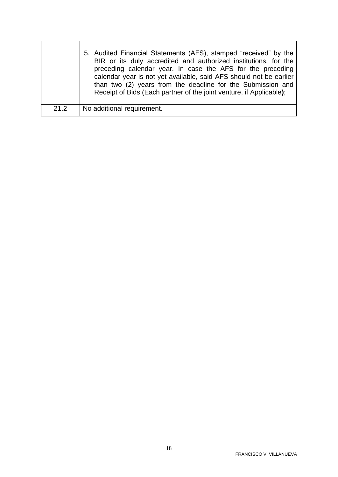|      | 5. Audited Financial Statements (AFS), stamped "received" by the<br>BIR or its duly accredited and authorized institutions, for the<br>preceding calendar year. In case the AFS for the preceding<br>calendar year is not yet available, said AFS should not be earlier<br>than two (2) years from the deadline for the Submission and<br>Receipt of Bids (Each partner of the joint venture, if Applicable); |
|------|---------------------------------------------------------------------------------------------------------------------------------------------------------------------------------------------------------------------------------------------------------------------------------------------------------------------------------------------------------------------------------------------------------------|
| 21.2 | No additional requirement.                                                                                                                                                                                                                                                                                                                                                                                    |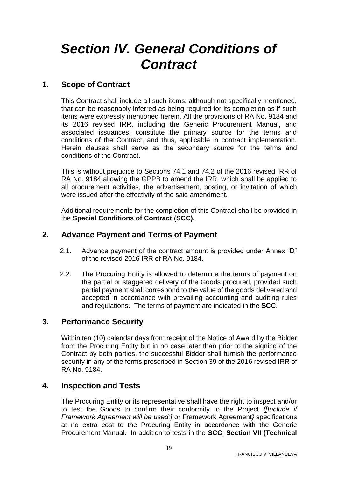# <span id="page-18-0"></span>*Section IV. General Conditions of Contract*

# <span id="page-18-1"></span>**1. Scope of Contract**

This Contract shall include all such items, although not specifically mentioned, that can be reasonably inferred as being required for its completion as if such items were expressly mentioned herein. All the provisions of RA No. 9184 and its 2016 revised IRR, including the Generic Procurement Manual, and associated issuances, constitute the primary source for the terms and conditions of the Contract, and thus, applicable in contract implementation. Herein clauses shall serve as the secondary source for the terms and conditions of the Contract.

This is without prejudice to Sections 74.1 and 74.2 of the 2016 revised IRR of RA No. 9184 allowing the GPPB to amend the IRR, which shall be applied to all procurement activities, the advertisement, posting, or invitation of which were issued after the effectivity of the said amendment.

Additional requirements for the completion of this Contract shall be provided in the **Special Conditions of Contract** (**SCC).**

## <span id="page-18-2"></span>**2. Advance Payment and Terms of Payment**

- 2.1. Advance payment of the contract amount is provided under Annex "D" of the revised 2016 IRR of RA No. 9184.
- 2.2. The Procuring Entity is allowed to determine the terms of payment on the partial or staggered delivery of the Goods procured, provided such partial payment shall correspond to the value of the goods delivered and accepted in accordance with prevailing accounting and auditing rules and regulations. The terms of payment are indicated in the **SCC**.

# <span id="page-18-3"></span>**3. Performance Security**

Within ten (10) calendar days from receipt of the Notice of Award by the Bidder from the Procuring Entity but in no case later than prior to the signing of the Contract by both parties, the successful Bidder shall furnish the performance security in any of the forms prescribed in Section 39 of the 2016 revised IRR of RA No. 9184.

## <span id="page-18-4"></span>**4. Inspection and Tests**

The Procuring Entity or its representative shall have the right to inspect and/or to test the Goods to confirm their conformity to the Project *{[Include if Framework Agreement will be used:]* or Framework Agreement*}* specifications at no extra cost to the Procuring Entity in accordance with the Generic Procurement Manual. In addition to tests in the **SCC**, **Section VII (Technical**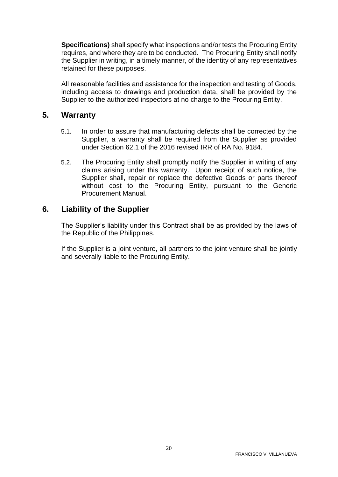**Specifications)** shall specify what inspections and/or tests the Procuring Entity requires, and where they are to be conducted. The Procuring Entity shall notify the Supplier in writing, in a timely manner, of the identity of any representatives retained for these purposes.

All reasonable facilities and assistance for the inspection and testing of Goods, including access to drawings and production data, shall be provided by the Supplier to the authorized inspectors at no charge to the Procuring Entity.

### <span id="page-19-0"></span>**5. Warranty**

- 5.1. In order to assure that manufacturing defects shall be corrected by the Supplier, a warranty shall be required from the Supplier as provided under Section 62.1 of the 2016 revised IRR of RA No. 9184.
- 5.2. The Procuring Entity shall promptly notify the Supplier in writing of any claims arising under this warranty. Upon receipt of such notice, the Supplier shall, repair or replace the defective Goods or parts thereof without cost to the Procuring Entity, pursuant to the Generic Procurement Manual.

### <span id="page-19-1"></span>**6. Liability of the Supplier**

The Supplier's liability under this Contract shall be as provided by the laws of the Republic of the Philippines.

If the Supplier is a joint venture, all partners to the joint venture shall be jointly and severally liable to the Procuring Entity.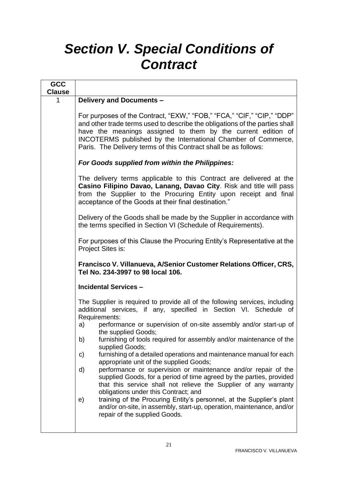# <span id="page-20-0"></span>*Section V. Special Conditions of Contract*

| <b>GCC</b>    |                                                                                                                                                                                                                                                                                                                                                           |  |  |  |  |
|---------------|-----------------------------------------------------------------------------------------------------------------------------------------------------------------------------------------------------------------------------------------------------------------------------------------------------------------------------------------------------------|--|--|--|--|
| <b>Clause</b> |                                                                                                                                                                                                                                                                                                                                                           |  |  |  |  |
| 1             | Delivery and Documents -                                                                                                                                                                                                                                                                                                                                  |  |  |  |  |
|               | For purposes of the Contract, "EXW," "FOB," "FCA," "CIF," "CIP," "DDP"<br>and other trade terms used to describe the obligations of the parties shall<br>have the meanings assigned to them by the current edition of<br>INCOTERMS published by the International Chamber of Commerce,<br>Paris. The Delivery terms of this Contract shall be as follows: |  |  |  |  |
|               | For Goods supplied from within the Philippines:                                                                                                                                                                                                                                                                                                           |  |  |  |  |
|               | The delivery terms applicable to this Contract are delivered at the<br>Casino Filipino Davao, Lanang, Davao City. Risk and title will pass<br>from the Supplier to the Procuring Entity upon receipt and final<br>acceptance of the Goods at their final destination."                                                                                    |  |  |  |  |
|               | Delivery of the Goods shall be made by the Supplier in accordance with<br>the terms specified in Section VI (Schedule of Requirements).                                                                                                                                                                                                                   |  |  |  |  |
|               | For purposes of this Clause the Procuring Entity's Representative at the<br>Project Sites is:                                                                                                                                                                                                                                                             |  |  |  |  |
|               | Francisco V. Villanueva, A/Senior Customer Relations Officer, CRS,<br>Tel No. 234-3997 to 98 local 106.                                                                                                                                                                                                                                                   |  |  |  |  |
|               | <b>Incidental Services -</b>                                                                                                                                                                                                                                                                                                                              |  |  |  |  |
|               | The Supplier is required to provide all of the following services, including<br>additional services, if any, specified in Section VI. Schedule of<br>Requirements:                                                                                                                                                                                        |  |  |  |  |
|               | performance or supervision of on-site assembly and/or start-up of<br>a)<br>the supplied Goods;                                                                                                                                                                                                                                                            |  |  |  |  |
|               | furnishing of tools required for assembly and/or maintenance of the<br>b)<br>supplied Goods;                                                                                                                                                                                                                                                              |  |  |  |  |
|               | furnishing of a detailed operations and maintenance manual for each<br>C)<br>appropriate unit of the supplied Goods;                                                                                                                                                                                                                                      |  |  |  |  |
|               | performance or supervision or maintenance and/or repair of the<br>d)<br>supplied Goods, for a period of time agreed by the parties, provided<br>that this service shall not relieve the Supplier of any warranty<br>obligations under this Contract; and                                                                                                  |  |  |  |  |
|               | training of the Procuring Entity's personnel, at the Supplier's plant<br>e)<br>and/or on-site, in assembly, start-up, operation, maintenance, and/or<br>repair of the supplied Goods.                                                                                                                                                                     |  |  |  |  |
|               |                                                                                                                                                                                                                                                                                                                                                           |  |  |  |  |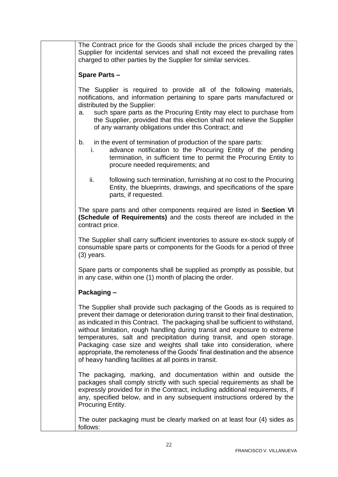The Contract price for the Goods shall include the prices charged by the Supplier for incidental services and shall not exceed the prevailing rates charged to other parties by the Supplier for similar services.

#### **Spare Parts –**

The Supplier is required to provide all of the following materials, notifications, and information pertaining to spare parts manufactured or distributed by the Supplier:

- a. such spare parts as the Procuring Entity may elect to purchase from the Supplier, provided that this election shall not relieve the Supplier of any warranty obligations under this Contract; and
- b. in the event of termination of production of the spare parts:
	- i. advance notification to the Procuring Entity of the pending termination, in sufficient time to permit the Procuring Entity to procure needed requirements; and
	- ii. following such termination, furnishing at no cost to the Procuring Entity, the blueprints, drawings, and specifications of the spare parts, if requested.

The spare parts and other components required are listed in **Section VI (Schedule of Requirements)** and the costs thereof are included in the contract price.

The Supplier shall carry sufficient inventories to assure ex-stock supply of consumable spare parts or components for the Goods for a period of three (3) years.

Spare parts or components shall be supplied as promptly as possible, but in any case, within one (1) month of placing the order.

#### **Packaging –**

The Supplier shall provide such packaging of the Goods as is required to prevent their damage or deterioration during transit to their final destination, as indicated in this Contract. The packaging shall be sufficient to withstand, without limitation, rough handling during transit and exposure to extreme temperatures, salt and precipitation during transit, and open storage. Packaging case size and weights shall take into consideration, where appropriate, the remoteness of the Goods' final destination and the absence of heavy handling facilities at all points in transit.

The packaging, marking, and documentation within and outside the packages shall comply strictly with such special requirements as shall be expressly provided for in the Contract, including additional requirements, if any, specified below, and in any subsequent instructions ordered by the Procuring Entity.

The outer packaging must be clearly marked on at least four (4) sides as follows: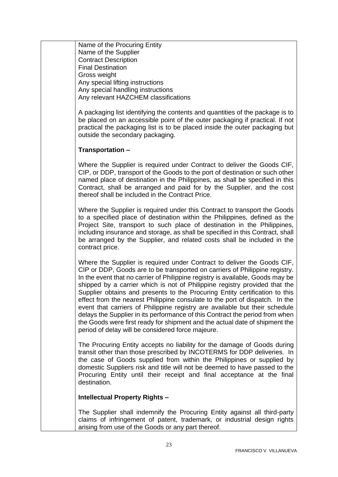Name of the Procuring Entity Name of the Supplier Contract Description Final Destination Gross weight Any special lifting instructions Any special handling instructions Any relevant HAZCHEM classifications

A packaging list identifying the contents and quantities of the package is to be placed on an accessible point of the outer packaging if practical. If not practical the packaging list is to be placed inside the outer packaging but outside the secondary packaging.

#### **Transportation –**

Where the Supplier is required under Contract to deliver the Goods CIF. CIP, or DDP, transport of the Goods to the port of destination or such other named place of destination in the Philippines, as shall be specified in this Contract, shall be arranged and paid for by the Supplier, and the cost thereof shall be included in the Contract Price.

Where the Supplier is required under this Contract to transport the Goods to a specified place of destination within the Philippines, defined as the Project Site, transport to such place of destination in the Philippines, including insurance and storage, as shall be specified in this Contract, shall be arranged by the Supplier, and related costs shall be included in the contract price.

Where the Supplier is required under Contract to deliver the Goods CIF, CIP or DDP, Goods are to be transported on carriers of Philippine registry. In the event that no carrier of Philippine registry is available, Goods may be shipped by a carrier which is not of Philippine registry provided that the Supplier obtains and presents to the Procuring Entity certification to this effect from the nearest Philippine consulate to the port of dispatch. In the event that carriers of Philippine registry are available but their schedule delays the Supplier in its performance of this Contract the period from when the Goods were first ready for shipment and the actual date of shipment the period of delay will be considered force majeure.

The Procuring Entity accepts no liability for the damage of Goods during transit other than those prescribed by INCOTERMS for DDP deliveries. In the case of Goods supplied from within the Philippines or supplied by domestic Suppliers risk and title will not be deemed to have passed to the Procuring Entity until their receipt and final acceptance at the final destination.

#### **Intellectual Property Rights –**

The Supplier shall indemnify the Procuring Entity against all third-party claims of infringement of patent, trademark, or industrial design rights arising from use of the Goods or any part thereof.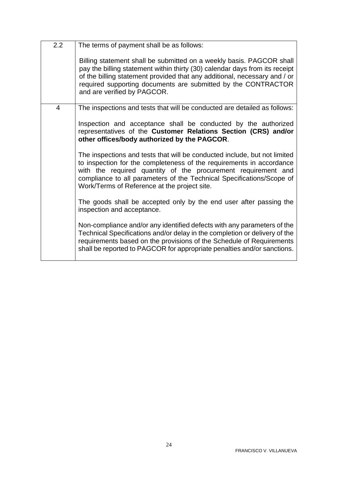| 2.2            | The terms of payment shall be as follows:                                                                                                                                                                                                                                                                                                   |  |  |
|----------------|---------------------------------------------------------------------------------------------------------------------------------------------------------------------------------------------------------------------------------------------------------------------------------------------------------------------------------------------|--|--|
|                | Billing statement shall be submitted on a weekly basis. PAGCOR shall<br>pay the billing statement within thirty (30) calendar days from its receipt<br>of the billing statement provided that any additional, necessary and / or<br>required supporting documents are submitted by the CONTRACTOR<br>and are verified by PAGCOR.            |  |  |
| $\overline{4}$ | The inspections and tests that will be conducted are detailed as follows:                                                                                                                                                                                                                                                                   |  |  |
|                | Inspection and acceptance shall be conducted by the authorized<br>representatives of the Customer Relations Section (CRS) and/or<br>other offices/body authorized by the PAGCOR.                                                                                                                                                            |  |  |
|                | The inspections and tests that will be conducted include, but not limited<br>to inspection for the completeness of the requirements in accordance<br>with the required quantity of the procurement requirement and<br>compliance to all parameters of the Technical Specifications/Scope of<br>Work/Terms of Reference at the project site. |  |  |
|                | The goods shall be accepted only by the end user after passing the<br>inspection and acceptance.                                                                                                                                                                                                                                            |  |  |
|                | Non-compliance and/or any identified defects with any parameters of the<br>Technical Specifications and/or delay in the completion or delivery of the<br>requirements based on the provisions of the Schedule of Requirements<br>shall be reported to PAGCOR for appropriate penalties and/or sanctions.                                    |  |  |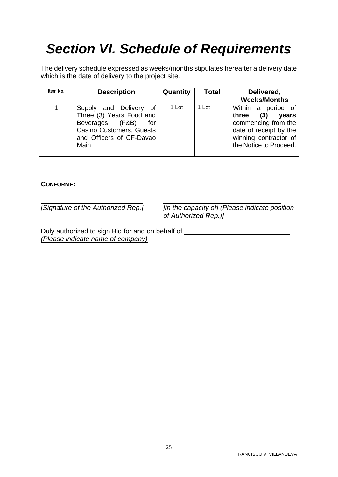# <span id="page-24-0"></span>*Section VI. Schedule of Requirements*

The delivery schedule expressed as weeks/months stipulates hereafter a delivery date which is the date of delivery to the project site.

| Item No. | <b>Description</b>                                                                                                                                 | <b>Quantity</b> | <b>Total</b> | Delivered,<br><b>Weeks/Months</b>                                                                                                                     |
|----------|----------------------------------------------------------------------------------------------------------------------------------------------------|-----------------|--------------|-------------------------------------------------------------------------------------------------------------------------------------------------------|
|          | and Delivery of<br>Supply<br>Three (3) Years Food and<br>(F&B)<br>Beverages<br>for<br>Casino Customers, Guests<br>and Officers of CF-Davao<br>Main | 1 Lot           | 1 Lot        | Within<br>period of<br>a<br>(3)<br>three<br>years<br>commencing from the<br>date of receipt by the<br>winning contractor of<br>the Notice to Proceed. |

#### **CONFORME:**

*[Signature of the Authorized Rep.] [in the capacity of] (Please indicate position of Authorized Rep.)]*

Duly authorized to sign Bid for and on behalf of \_\_\_\_\_\_\_\_\_\_\_\_\_\_\_\_\_\_\_\_\_\_\_\_\_\_\_\_\_\_\_ *(Please indicate name of company)*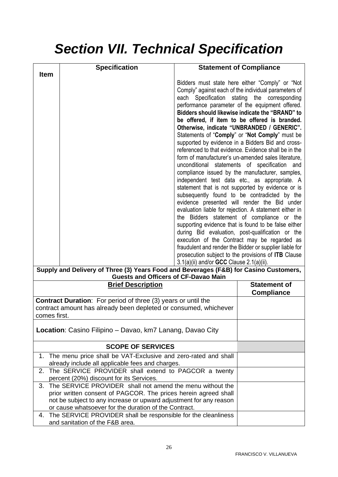# <span id="page-25-0"></span>*Section VII. Technical Specification*

|                                                                                                                                                                                                                                                                                                                                                                                                                                                                                                                                                                                                                                                                                                                                                                                                                                                                                                                                                                                                                                                                                                                                                                                                                                                                                                                                                                                                                                                                                                           | <b>Specification</b>                                                                                                         |  | <b>Statement of Compliance</b> |
|-----------------------------------------------------------------------------------------------------------------------------------------------------------------------------------------------------------------------------------------------------------------------------------------------------------------------------------------------------------------------------------------------------------------------------------------------------------------------------------------------------------------------------------------------------------------------------------------------------------------------------------------------------------------------------------------------------------------------------------------------------------------------------------------------------------------------------------------------------------------------------------------------------------------------------------------------------------------------------------------------------------------------------------------------------------------------------------------------------------------------------------------------------------------------------------------------------------------------------------------------------------------------------------------------------------------------------------------------------------------------------------------------------------------------------------------------------------------------------------------------------------|------------------------------------------------------------------------------------------------------------------------------|--|--------------------------------|
| <b>Item</b><br>Bidders must state here either "Comply" or "Not<br>Comply" against each of the individual parameters of<br>each Specification stating the corresponding<br>performance parameter of the equipment offered.<br>Bidders should likewise indicate the "BRAND" to<br>be offered, if item to be offered is branded.<br>Otherwise, indicate "UNBRANDED / GENERIC".<br>Statements of "Comply" or "Not Comply" must be<br>supported by evidence in a Bidders Bid and cross-<br>referenced to that evidence. Evidence shall be in the<br>form of manufacturer's un-amended sales literature.<br>unconditional statements of specification and<br>compliance issued by the manufacturer, samples,<br>independent test data etc., as appropriate. A<br>statement that is not supported by evidence or is<br>subsequently found to be contradicted by the<br>evidence presented will render the Bid under<br>evaluation liable for rejection. A statement either in<br>the Bidders statement of compliance or the<br>supporting evidence that is found to be false either<br>during Bid evaluation, post-qualification or the<br>execution of the Contract may be regarded as<br>fraudulent and render the Bidder or supplier liable for<br>prosecution subject to the provisions of <b>ITB</b> Clause<br>$3.1(a)(ii)$ and/or <b>GCC</b> Clause $2.1(a)(ii)$ .<br>Supply and Delivery of Three (3) Years Food and Beverages (F&B) for Casino Customers,<br><b>Guests and Officers of CF-Davao Main</b> |                                                                                                                              |  |                                |
|                                                                                                                                                                                                                                                                                                                                                                                                                                                                                                                                                                                                                                                                                                                                                                                                                                                                                                                                                                                                                                                                                                                                                                                                                                                                                                                                                                                                                                                                                                           | <b>Brief Description</b>                                                                                                     |  | <b>Statement of</b>            |
|                                                                                                                                                                                                                                                                                                                                                                                                                                                                                                                                                                                                                                                                                                                                                                                                                                                                                                                                                                                                                                                                                                                                                                                                                                                                                                                                                                                                                                                                                                           | <b>Contract Duration:</b> For period of three (3) years or until the                                                         |  | <b>Compliance</b>              |
| comes first.                                                                                                                                                                                                                                                                                                                                                                                                                                                                                                                                                                                                                                                                                                                                                                                                                                                                                                                                                                                                                                                                                                                                                                                                                                                                                                                                                                                                                                                                                              | contract amount has already been depleted or consumed, whichever                                                             |  |                                |
|                                                                                                                                                                                                                                                                                                                                                                                                                                                                                                                                                                                                                                                                                                                                                                                                                                                                                                                                                                                                                                                                                                                                                                                                                                                                                                                                                                                                                                                                                                           | <b>Location:</b> Casino Filipino – Davao, km7 Lanang, Davao City                                                             |  |                                |
|                                                                                                                                                                                                                                                                                                                                                                                                                                                                                                                                                                                                                                                                                                                                                                                                                                                                                                                                                                                                                                                                                                                                                                                                                                                                                                                                                                                                                                                                                                           | <b>SCOPE OF SERVICES</b>                                                                                                     |  |                                |
|                                                                                                                                                                                                                                                                                                                                                                                                                                                                                                                                                                                                                                                                                                                                                                                                                                                                                                                                                                                                                                                                                                                                                                                                                                                                                                                                                                                                                                                                                                           | 1. The menu price shall be VAT-Exclusive and zero-rated and shall<br>already include all applicable fees and charges.        |  |                                |
|                                                                                                                                                                                                                                                                                                                                                                                                                                                                                                                                                                                                                                                                                                                                                                                                                                                                                                                                                                                                                                                                                                                                                                                                                                                                                                                                                                                                                                                                                                           | 2. The SERVICE PROVIDER shall extend to PAGCOR a twenty<br>percent (20%) discount for its Services.                          |  |                                |
| 3.                                                                                                                                                                                                                                                                                                                                                                                                                                                                                                                                                                                                                                                                                                                                                                                                                                                                                                                                                                                                                                                                                                                                                                                                                                                                                                                                                                                                                                                                                                        | The SERVICE PROVIDER shall not amend the menu without the<br>prior written consent of PAGCOR. The prices herein agreed shall |  |                                |
|                                                                                                                                                                                                                                                                                                                                                                                                                                                                                                                                                                                                                                                                                                                                                                                                                                                                                                                                                                                                                                                                                                                                                                                                                                                                                                                                                                                                                                                                                                           | not be subject to any increase or upward adjustment for any reason                                                           |  |                                |
|                                                                                                                                                                                                                                                                                                                                                                                                                                                                                                                                                                                                                                                                                                                                                                                                                                                                                                                                                                                                                                                                                                                                                                                                                                                                                                                                                                                                                                                                                                           | or cause whatsoever for the duration of the Contract.<br>4. The SERVICE PROVIDER shall be responsible for the cleanliness    |  |                                |
|                                                                                                                                                                                                                                                                                                                                                                                                                                                                                                                                                                                                                                                                                                                                                                                                                                                                                                                                                                                                                                                                                                                                                                                                                                                                                                                                                                                                                                                                                                           | and sanitation of the F&B area.                                                                                              |  |                                |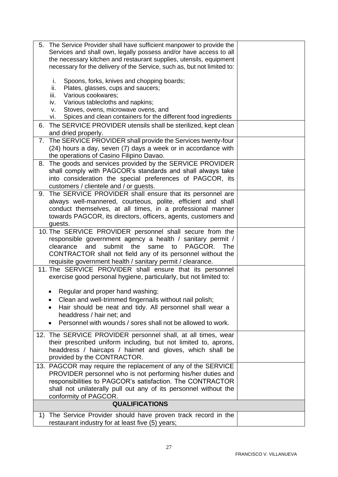| The Service Provider shall have sufficient manpower to provide the<br>5. |  |
|--------------------------------------------------------------------------|--|
| Services and shall own, legally possess and/or have access to all        |  |
| the necessary kitchen and restaurant supplies, utensils, equipment       |  |
| necessary for the delivery of the Service, such as, but not limited to:  |  |
|                                                                          |  |
| Spoons, forks, knives and chopping boards;<br>i.                         |  |
| ii.<br>Plates, glasses, cups and saucers;                                |  |
| iii.<br>Various cookwares;                                               |  |
| Various tablecloths and napkins;<br>iv.                                  |  |
| Stoves, ovens, microwave ovens, and<br>v.                                |  |
| Spices and clean containers for the different food ingredients<br>vi.    |  |
| 6. The SERVICE PROVIDER utensils shall be sterilized, kept clean         |  |
| and dried properly.                                                      |  |
| 7. The SERVICE PROVIDER shall provide the Services twenty-four           |  |
| (24) hours a day, seven (7) days a week or in accordance with            |  |
| the operations of Casino Filipino Davao.                                 |  |
| 8. The goods and services provided by the SERVICE PROVIDER               |  |
|                                                                          |  |
| shall comply with PAGCOR's standards and shall always take               |  |
| into consideration the special preferences of PAGCOR, its                |  |
| customers / clientele and / or guests.                                   |  |
| The SERVICE PROVIDER shall ensure that its personnel are<br>9.           |  |
| always well-mannered, courteous, polite, efficient and shall             |  |
| conduct themselves, at all times, in a professional manner               |  |
| towards PAGCOR, its directors, officers, agents, customers and           |  |
| guests.                                                                  |  |
| 10. The SERVICE PROVIDER personnel shall secure from the                 |  |
| responsible government agency a health / sanitary permit /               |  |
| PAGCOR.<br>clearance<br>and<br>submit the<br>same<br>to<br><b>The</b>    |  |
| CONTRACTOR shall not field any of its personnel without the              |  |
| requisite government health / sanitary permit / clearance.               |  |
| 11. The SERVICE PROVIDER shall ensure that its personnel                 |  |
| exercise good personal hygiene, particularly, but not limited to:        |  |
|                                                                          |  |
|                                                                          |  |
| Regular and proper hand washing;                                         |  |
| Clean and well-trimmed fingernails without nail polish;                  |  |
| Hair should be neat and tidy. All personnel shall wear a                 |  |
| headdress / hair net; and                                                |  |
| Personnel with wounds / sores shall not be allowed to work.              |  |
|                                                                          |  |
| 12. The SERVICE PROVIDER personnel shall, at all times, wear             |  |
| their prescribed uniform including, but not limited to, aprons,          |  |
| headdress / haircaps / hairnet and gloves, which shall be                |  |
| provided by the CONTRACTOR.                                              |  |
| 13. PAGCOR may require the replacement of any of the SERVICE             |  |
| PROVIDER personnel who is not performing his/her duties and              |  |
| responsibilities to PAGCOR's satisfaction. The CONTRACTOR                |  |
| shall not unilaterally pull out any of its personnel without the         |  |
| conformity of PAGCOR.                                                    |  |
| <b>QUALIFICATIONS</b>                                                    |  |
|                                                                          |  |
| 1) The Service Provider should have proven track record in the           |  |
| restaurant industry for at least five (5) years;                         |  |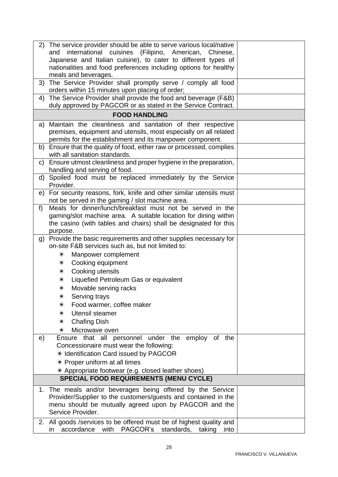| 2) The service provider should be able to serve various local/native<br>international cuisines (Filipino, American, Chinese,<br>and<br>Japanese and Italian cuisine), to cater to different types of<br>nationalities and food preferences including options for healthy |  |
|--------------------------------------------------------------------------------------------------------------------------------------------------------------------------------------------------------------------------------------------------------------------------|--|
| meals and beverages.<br>The Service Provider shall promptly serve / comply all food<br>3)<br>orders within 15 minutes upon placing of order;                                                                                                                             |  |
| The Service Provider shall provide the food and beverage (F&B)<br>4)<br>duly approved by PAGCOR or as stated in the Service Contract.                                                                                                                                    |  |
| <b>FOOD HANDLING</b>                                                                                                                                                                                                                                                     |  |
| Maintain the cleanliness and sanitation of their respective<br>a)<br>premises, equipment and utensils, most especially on all related<br>permits for the establishment and its manpower component.                                                                       |  |
| b) Ensure that the quality of food, either raw or processed, complies<br>with all sanitation standards.                                                                                                                                                                  |  |
| Ensure utmost cleanliness and proper hygiene in the preparation,<br>C)<br>handling and serving of food.                                                                                                                                                                  |  |
| d) Spoiled food must be replaced immediately by the Service<br>Provider.                                                                                                                                                                                                 |  |
| For security reasons, fork, knife and other similar utensils must<br>e)<br>not be served in the gaming / slot machine area.                                                                                                                                              |  |
| Meals for dinner/lunch/breakfast must not be served in the<br>f<br>gaming/slot machine area. A suitable location for dining within<br>the casino (with tables and chairs) shall be designated for this<br>purpose.                                                       |  |
| Provide the basic requirements and other supplies necessary for<br>g)<br>on-site F&B services such as, but not limited to:                                                                                                                                               |  |
| Manpower complement<br>$\divideontimes$<br>Cooking equipment<br>$\divideontimes$                                                                                                                                                                                         |  |
| Cooking utensils<br>$\ast$                                                                                                                                                                                                                                               |  |
| Liquefied Petroleum Gas or equivalent<br>$\divideontimes$                                                                                                                                                                                                                |  |
| $\divideontimes$<br>Movable serving racks                                                                                                                                                                                                                                |  |
| Serving trays<br>☀                                                                                                                                                                                                                                                       |  |
| Food warmer, coffee maker<br>$\divideontimes$                                                                                                                                                                                                                            |  |
| Utensil steamer<br>$\divideontimes$                                                                                                                                                                                                                                      |  |
| <b>Chafing Dish</b><br>$\divideontimes$<br>Microwave oven<br>$\ast$                                                                                                                                                                                                      |  |
| Ensure that all personnel under the<br>employ of the<br>e)<br>Concessionaire must wear the following:                                                                                                                                                                    |  |
| * Identification Card issued by PAGCOR                                                                                                                                                                                                                                   |  |
| $*$ Proper uniform at all times                                                                                                                                                                                                                                          |  |
| * Appropriate footwear (e.g. closed leather shoes)                                                                                                                                                                                                                       |  |
| <b>SPECIAL FOOD REQUIREMENTS (MENU CYCLE)</b>                                                                                                                                                                                                                            |  |
| 1. The meals and/or beverages being offered by the Service<br>Provider/Supplier to the customers/guests and contained in the<br>menu should be mutually agreed upon by PAGCOR and the<br>Service Provider.                                                               |  |
| 2. All goods / services to be offered must be of highest quality and<br>PAGCOR's<br>accordance<br>with<br>standards,<br>taking<br>in<br>into                                                                                                                             |  |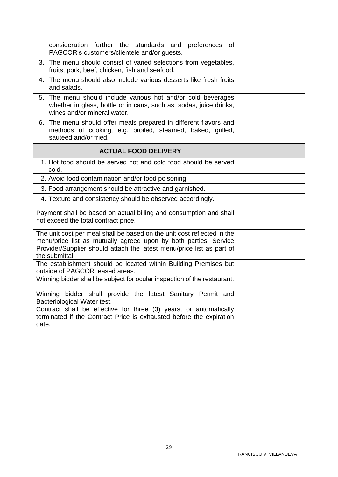| consideration further the standards and preferences<br>0f<br>PAGCOR's customers/clientele and/or guests.                                                                                                                               |  |
|----------------------------------------------------------------------------------------------------------------------------------------------------------------------------------------------------------------------------------------|--|
| 3. The menu should consist of varied selections from vegetables,<br>fruits, pork, beef, chicken, fish and seafood.                                                                                                                     |  |
| 4. The menu should also include various desserts like fresh fruits<br>and salads.                                                                                                                                                      |  |
| 5. The menu should include various hot and/or cold beverages<br>whether in glass, bottle or in cans, such as, sodas, juice drinks,<br>wines and/or mineral water.                                                                      |  |
| The menu should offer meals prepared in different flavors and<br>6.<br>methods of cooking, e.g. broiled, steamed, baked, grilled,<br>sautéed and/or fried.                                                                             |  |
| <b>ACTUAL FOOD DELIVERY</b>                                                                                                                                                                                                            |  |
| 1. Hot food should be served hot and cold food should be served<br>cold.                                                                                                                                                               |  |
| 2. Avoid food contamination and/or food poisoning.                                                                                                                                                                                     |  |
| 3. Food arrangement should be attractive and garnished.                                                                                                                                                                                |  |
| 4. Texture and consistency should be observed accordingly.                                                                                                                                                                             |  |
| Payment shall be based on actual billing and consumption and shall<br>not exceed the total contract price.                                                                                                                             |  |
| The unit cost per meal shall be based on the unit cost reflected in the<br>menu/price list as mutually agreed upon by both parties. Service<br>Provider/Supplier should attach the latest menu/price list as part of<br>the submittal. |  |
| The establishment should be located within Building Premises but<br>outside of PAGCOR leased areas.                                                                                                                                    |  |
| Winning bidder shall be subject for ocular inspection of the restaurant.                                                                                                                                                               |  |
| Winning bidder shall provide the latest Sanitary Permit and<br>Bacteriological Water test.                                                                                                                                             |  |
| Contract shall be effective for three (3) years, or automatically<br>terminated if the Contract Price is exhausted before the expiration<br>date.                                                                                      |  |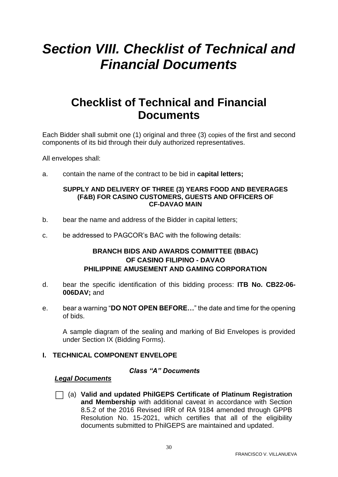# <span id="page-29-0"></span>*Section VIII. Checklist of Technical and Financial Documents*

# **Checklist of Technical and Financial Documents**

Each Bidder shall submit one (1) original and three (3) copies of the first and second components of its bid through their duly authorized representatives.

All envelopes shall:

a. contain the name of the contract to be bid in **capital letters;**

#### **SUPPLY AND DELIVERY OF THREE (3) YEARS FOOD AND BEVERAGES (F&B) FOR CASINO CUSTOMERS, GUESTS AND OFFICERS OF CF-DAVAO MAIN**

- b. bear the name and address of the Bidder in capital letters;
- c. be addressed to PAGCOR's BAC with the following details:

### **BRANCH BIDS AND AWARDS COMMITTEE (BBAC) OF CASINO FILIPINO - DAVAO PHILIPPINE AMUSEMENT AND GAMING CORPORATION**

- d. bear the specific identification of this bidding process: **ITB No. CB22-06- 006DAV;** and
- e. bear a warning "**DO NOT OPEN BEFORE…**" the date and time for the opening of bids.

A sample diagram of the sealing and marking of Bid Envelopes is provided under Section IX (Bidding Forms).

#### **I. TECHNICAL COMPONENT ENVELOPE**

#### *Class "A" Documents*

#### *Legal Documents*

⬜ (a) **Valid and updated PhilGEPS Certificate of Platinum Registration and Membership** with additional caveat in accordance with Section 8.5.2 of the 2016 Revised IRR of RA 9184 amended through GPPB Resolution No. 15-2021, which certifies that all of the eligibility documents submitted to PhilGEPS are maintained and updated.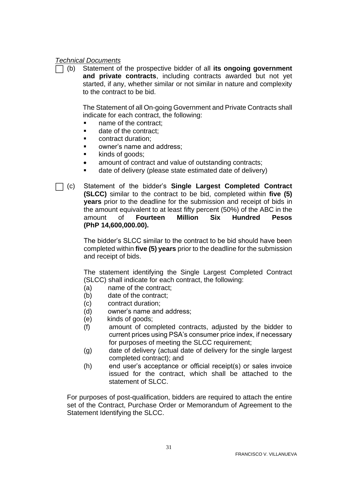#### *Technical Documents*

⬜ (b) Statement of the prospective bidder of all **its ongoing government and private contracts**, including contracts awarded but not yet started, if any, whether similar or not similar in nature and complexity to the contract to be bid.

The Statement of all On-going Government and Private Contracts shall indicate for each contract, the following:

- name of the contract;
- date of the contract;
- contract duration;
- owner's name and address:
- kinds of goods;
- amount of contract and value of outstanding contracts;
- date of delivery (please state estimated date of delivery)
- ⬜ (c) Statement of the bidder's **Single Largest Completed Contract (SLCC)** similar to the contract to be bid, completed within **five (5) years** prior to the deadline for the submission and receipt of bids in the amount equivalent to at least fifty percent (50%) of the ABC in the amount of **Fourteen Million Six Hundred Pesos (PhP 14,600,000.00).**

The bidder's SLCC similar to the contract to be bid should have been completed within **five (5) years** prior to the deadline for the submission and receipt of bids.

The statement identifying the Single Largest Completed Contract (SLCC) shall indicate for each contract, the following:

- (a) name of the contract;
- (b) date of the contract;
- (c) contract duration;
- (d) owner's name and address;
- (e) kinds of goods;
- (f) amount of completed contracts, adjusted by the bidder to current prices using PSA's consumer price index, if necessary for purposes of meeting the SLCC requirement;
- (g) date of delivery (actual date of delivery for the single largest completed contract); and
- (h) end user's acceptance or official receipt(s) or sales invoice issued for the contract, which shall be attached to the statement of SLCC.

For purposes of post-qualification, bidders are required to attach the entire set of the Contract, Purchase Order or Memorandum of Agreement to the Statement Identifying the SLCC.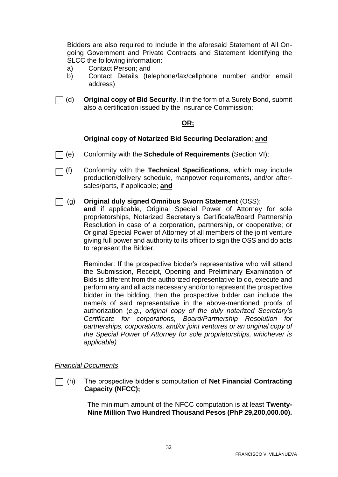Bidders are also required to Include in the aforesaid Statement of All Ongoing Government and Private Contracts and Statement Identifying the SLCC the following information:

- a) Contact Person; and
- b) Contact Details (telephone/fax/cellphone number and/or email address)
- $\Box$  (d) **Original copy of Bid Security**. If in the form of a Surety Bond, submit also a certification issued by the Insurance Commission;

#### **OR;**

#### **Original copy of Notarized Bid Securing Declaration**; **and**

- ⬜ Conformity with the **Schedule of Requirements** (Section VI);
- ](f) (f) Conformity with the **Technical Specifications**, which may include production/delivery schedule, manpower requirements, and/or aftersales/parts, if applicable; **and**
- ⬜ (g) **Original duly signed Omnibus Sworn Statement** (OSS);

**and** if applicable, Original Special Power of Attorney for sole proprietorships, Notarized Secretary's Certificate/Board Partnership Resolution in case of a corporation, partnership, or cooperative; or Original Special Power of Attorney of all members of the joint venture giving full power and authority to its officer to sign the OSS and do acts to represent the Bidder.

Reminder: If the prospective bidder's representative who will attend the Submission, Receipt, Opening and Preliminary Examination of Bids is different from the authorized representative to do, execute and perform any and all acts necessary and/or to represent the prospective bidder in the bidding, then the prospective bidder can include the name/s of said representative in the above-mentioned proofs of authorization (*e.g., original copy of the duly notarized Secretary's Certificate for corporations, Board/Partnership Resolution for partnerships, corporations, and/or joint ventures or an original copy of the Special Power of Attorney for sole proprietorships, whichever is applicable)*

#### *Financial Documents*

⬜ (h) The prospective bidder's computation of **Net Financial Contracting Capacity (NFCC);** 

> The minimum amount of the NFCC computation is at least **Twenty-Nine Million Two Hundred Thousand Pesos (PhP 29,200,000.00).**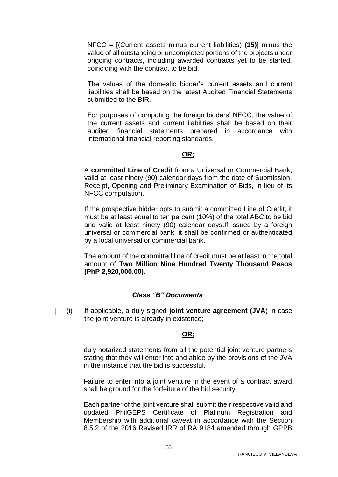NFCC = [(Current assets minus current liabilities) **(15)**] minus the value of all outstanding or uncompleted portions of the projects under ongoing contracts, including awarded contracts yet to be started, coinciding with the contract to be bid.

The values of the domestic bidder's current assets and current liabilities shall be based on the latest Audited Financial Statements submitted to the BIR.

For purposes of computing the foreign bidders' NFCC, the value of the current assets and current liabilities shall be based on their audited financial statements prepared in accordance with international financial reporting standards.

#### **OR;**

A **committed Line of Credit** from a Universal or Commercial Bank, valid at least ninety (90) calendar days from the date of Submission, Receipt, Opening and Preliminary Examination of Bids, in lieu of its NFCC computation.

If the prospective bidder opts to submit a committed Line of Credit, it must be at least equal to ten percent (10%) of the total ABC to be bid and valid at least ninety (90) calendar days.If issued by a foreign universal or commercial bank, it shall be confirmed or authenticated by a local universal or commercial bank.

The amount of the committed line of credit must be at least in the total amount of **Two Million Nine Hundred Twenty Thousand Pesos (PhP 2,920,000.00).**

#### *Class "B" Documents*

⬜ (i) If applicable, a duly signed **joint venture agreement (JVA**) in case the joint venture is already in existence;

#### **OR;**

duly notarized statements from all the potential joint venture partners stating that they will enter into and abide by the provisions of the JVA in the instance that the bid is successful.

Failure to enter into a joint venture in the event of a contract award shall be ground for the forfeiture of the bid security.

Each partner of the joint venture shall submit their respective valid and updated PhilGEPS Certificate of Platinum Registration and Membership with additional caveat in accordance with the Section 8.5.2 of the 2016 Revised IRR of RA 9184 amended through GPPB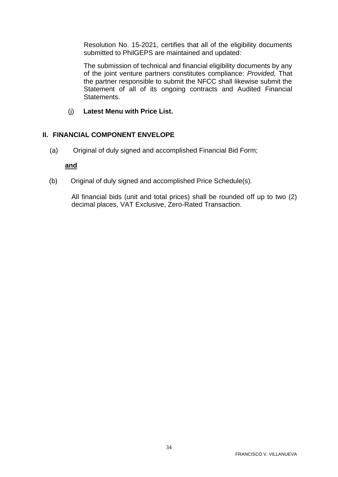Resolution No. 15-2021, certifies that all of the eligibility documents submitted to PhilGEPS are maintained and updated:

The submission of technical and financial eligibility documents by any of the joint venture partners constitutes compliance: *Provided,* That the partner responsible to submit the NFCC shall likewise submit the Statement of all of its ongoing contracts and Audited Financial Statements.

(j) **Latest Menu with Price List.**

#### **II. FINANCIAL COMPONENT ENVELOPE**

(a) Original of duly signed and accomplished Financial Bid Form;

#### **and**

(b) Original of duly signed and accomplished Price Schedule(s).

All financial bids (unit and total prices) shall be rounded off up to two (2) decimal places, VAT Exclusive, Zero-Rated Transaction.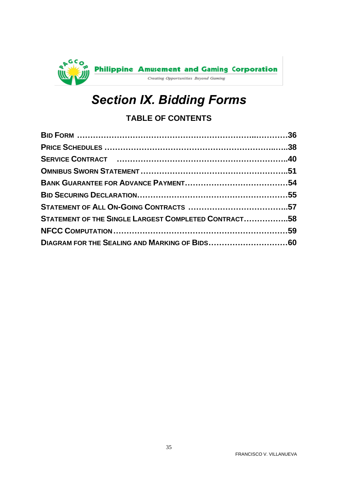<span id="page-34-0"></span>

# *Section IX. Bidding Forms*

# **TABLE OF CONTENTS**

| STATEMENT OF THE SINGLE LARGEST COMPLETED CONTRACT58 |  |
|------------------------------------------------------|--|
|                                                      |  |
|                                                      |  |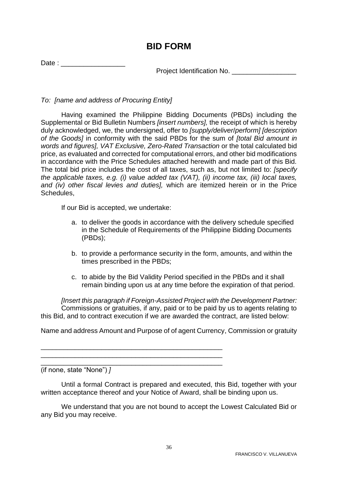# **BID FORM**

<span id="page-35-0"></span>Date : \_\_\_\_\_\_\_\_\_\_\_\_\_\_\_\_\_

Project Identification No.

*To: [name and address of Procuring Entity]*

Having examined the Philippine Bidding Documents (PBDs) including the Supplemental or Bid Bulletin Numbers *[insert numbers],* the receipt of which is hereby duly acknowledged, we, the undersigned, offer to *[supply/deliver*/*perform] [description of the Goods]* in conformity with the said PBDs for the sum of *[total Bid amount in words and figures], VAT Exclusive, Zero-Rated Transaction* or the total calculated bid price, as evaluated and corrected for computational errors, and other bid modifications in accordance with the Price Schedules attached herewith and made part of this Bid. The total bid price includes the cost of all taxes, such as, but not limited to: *[specify the applicable taxes, e.g. (i) value added tax (VAT), (ii) income tax, (iii) local taxes, and (iv) other fiscal levies and duties],* which are itemized herein or in the Price Schedules,

If our Bid is accepted, we undertake:

- a. to deliver the goods in accordance with the delivery schedule specified in the Schedule of Requirements of the Philippine Bidding Documents (PBDs);
- b. to provide a performance security in the form, amounts, and within the times prescribed in the PBDs;
- c. to abide by the Bid Validity Period specified in the PBDs and it shall remain binding upon us at any time before the expiration of that period.

*[Insert this paragraph if Foreign-Assisted Project with the Development Partner:* Commissions or gratuities, if any, paid or to be paid by us to agents relating to this Bid, and to contract execution if we are awarded the contract, are listed below:

Name and address Amount and Purpose of of agent Currency, Commission or gratuity

\_\_\_\_\_\_\_\_\_\_\_\_\_\_\_\_\_\_\_\_\_\_\_\_\_\_\_\_\_\_\_\_\_\_\_\_\_\_\_\_\_\_\_\_\_\_\_\_ \_\_\_\_\_\_\_\_\_\_\_\_\_\_\_\_\_\_\_\_\_\_\_\_\_\_\_\_\_\_\_\_\_\_\_\_\_\_\_\_\_\_\_\_\_\_\_\_

\_\_\_\_\_\_\_\_\_\_\_\_\_\_\_\_\_\_\_\_\_\_\_\_\_\_\_\_\_\_\_\_\_\_\_\_\_\_\_\_\_\_\_\_\_\_\_\_ (if none, state "None") *]*

Until a formal Contract is prepared and executed, this Bid, together with your written acceptance thereof and your Notice of Award, shall be binding upon us.

We understand that you are not bound to accept the Lowest Calculated Bid or any Bid you may receive.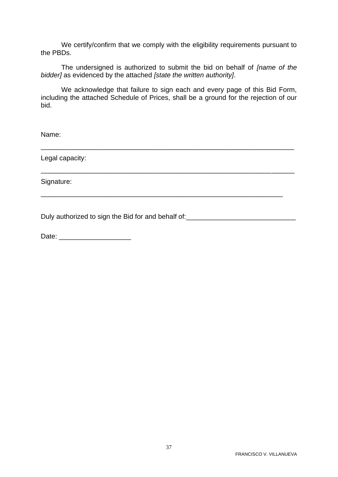We certify/confirm that we comply with the eligibility requirements pursuant to the PBDs.

The undersigned is authorized to submit the bid on behalf of *[name of the bidder]* as evidenced by the attached *[state the written authority]*.

We acknowledge that failure to sign each and every page of this Bid Form, including the attached Schedule of Prices, shall be a ground for the rejection of our bid.

\_\_\_\_\_\_\_\_\_\_\_\_\_\_\_\_\_\_\_\_\_\_\_\_\_\_\_\_\_\_\_\_\_\_\_\_\_\_\_\_\_\_\_\_\_\_\_\_\_\_\_\_\_\_\_\_\_\_\_\_\_\_\_\_\_\_\_

\_\_\_\_\_\_\_\_\_\_\_\_\_\_\_\_\_\_\_\_\_\_\_\_\_\_\_\_\_\_\_\_\_\_\_\_\_\_\_\_\_\_\_\_\_\_\_\_\_\_\_\_\_\_\_\_\_\_\_\_\_\_\_\_\_\_\_

\_\_\_\_\_\_\_\_\_\_\_\_\_\_\_\_\_\_\_\_\_\_\_\_\_\_\_\_\_\_\_\_\_\_\_\_\_\_\_\_\_\_\_\_\_\_\_\_\_\_\_\_\_\_\_\_\_\_\_\_\_\_\_\_

Name:

Legal capacity:

Signature:

Duly authorized to sign the Bid for and behalf of: \_\_\_\_\_\_\_\_\_\_\_\_\_\_\_\_\_\_\_\_\_\_\_\_\_\_\_\_\_

Date: \_\_\_\_\_\_\_\_\_\_\_\_\_\_\_\_\_\_\_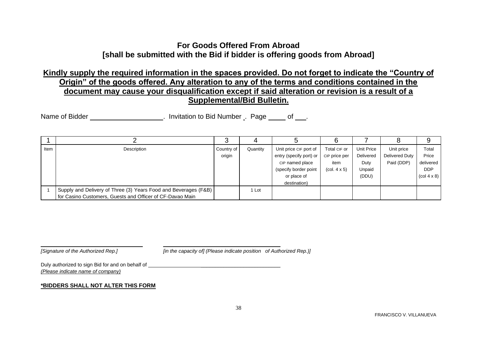# **For Goods Offered From Abroad [shall be submitted with the Bid if bidder is offering goods from Abroad]**

# **Kindly supply the required information in the spaces provided. Do not forget to indicate the "Country of Origin" of the goods offered. Any alteration to any of the terms and conditions contained in the document may cause your disqualification except if said alteration or revision is a result of a Supplemental/Bid Bulletin.**

Name of Bidder **Name of Bidder Name of Bidder** . Invitation to Bid Number . Page of .

<span id="page-37-0"></span>

|      |                                                                 | r          |          |                         |                                        |            |                |                                       |
|------|-----------------------------------------------------------------|------------|----------|-------------------------|----------------------------------------|------------|----------------|---------------------------------------|
| Item | Description                                                     | Country of | Quantity | Unit price CIF port of  | Total CIF or                           | Unit Price | Unit price     | Total                                 |
|      |                                                                 | origin     |          | entry (specify port) or | CIP price per                          | Delivered  | Delivered Duty | Price                                 |
|      |                                                                 |            |          | CIP named place         | item                                   | Duty       | Paid (DDP)     | delivered                             |
|      |                                                                 |            |          | (specify border point   | $\left(\text{col. } 4 \times 5\right)$ | Unpaid     |                | <b>DDP</b>                            |
|      |                                                                 |            |          | or place of             |                                        | (DDU)      |                | $\left(\text{col } 4 \times 8\right)$ |
|      |                                                                 |            |          | destination)            |                                        |            |                |                                       |
|      | Supply and Delivery of Three (3) Years Food and Beverages (F&B) |            | 1 Lot    |                         |                                        |            |                |                                       |
|      | for Casino Customers, Guests and Officer of CF-Davao Main       |            |          |                         |                                        |            |                |                                       |

*[Signature of the Authorized Rep.] [in the capacity of] (Please indicate position of Authorized Rep.)]*

Duly authorized to sign Bid for and on behalf of  $\Box$ *(Please indicate name of company)*

#### **\*BIDDERS SHALL NOT ALTER THIS FORM**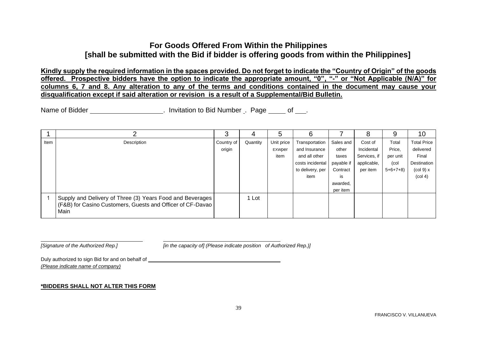## **For Goods Offered From Within the Philippines [shall be submitted with the Bid if bidder is offering goods from within the Philippines]**

**Kindly supply the required information in the spaces provided. Do not forget to indicate the "Country of Origin" of the goods offered. Prospective bidders have the option to indicate the appropriate amount, "0", "-" or "Not Applicable (N/A)" for columns 6, 7 and 8. Any alteration to any of the terms and conditions contained in the document may cause your disqualification except if said alteration or revision is a result of a Supplemental/Bid Bulletin.**

Name of Bidder **Name of Bidder Name of Bidder** . Invitation to Bid Number . Page of .

|      |                                                                                                                                 | っ<br>ບ     |          | 5          | 6                |            | 8            | a         | 10                             |
|------|---------------------------------------------------------------------------------------------------------------------------------|------------|----------|------------|------------------|------------|--------------|-----------|--------------------------------|
| Item | Description                                                                                                                     | Country of | Quantity | Unit price | Transportation   | Sales and  | Cost of      | Total     | <b>Total Price</b>             |
|      |                                                                                                                                 | origin     |          | EXWper     | and Insurance    | other      | Incidental   | Price,    | delivered                      |
|      |                                                                                                                                 |            |          | item       | and all other    | taxes      | Services, if | per unit  | Final                          |
|      |                                                                                                                                 |            |          |            | costs incidental | payable if | applicable,  | (col      | Destination                    |
|      |                                                                                                                                 |            |          |            | to delivery, per | Contract   | per item     | $5+6+7+8$ | $\left(\text{col } 9\right)$ x |
|      |                                                                                                                                 |            |          |            | item             | is         |              |           | (col 4)                        |
|      |                                                                                                                                 |            |          |            |                  | awarded,   |              |           |                                |
|      |                                                                                                                                 |            |          |            |                  | per item   |              |           |                                |
|      | Supply and Delivery of Three (3) Years Food and Beverages<br>(F&B) for Casino Customers, Guests and Officer of CF-Davao<br>Main |            | 1 Lot    |            |                  |            |              |           |                                |

*[Signature of the Authorized Rep.] [in the capacity of] (Please indicate position of Authorized Rep.)]*

Duly authorized to sign Bid for and on behalf of  $\Box$ *(Please indicate name of company)*

#### **\*BIDDERS SHALL NOT ALTER THIS FORM**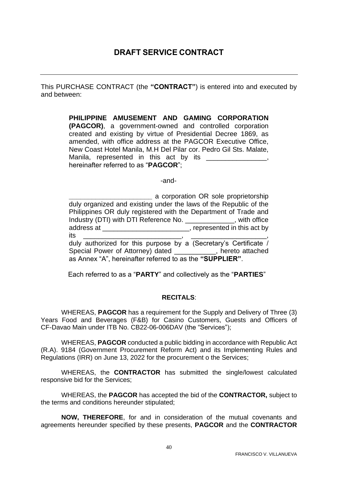<span id="page-39-0"></span>This PURCHASE CONTRACT (the **"CONTRACT"**) is entered into and executed by and between:

> **PHILIPPINE AMUSEMENT AND GAMING CORPORATION (PAGCOR)**, a government-owned and controlled corporation created and existing by virtue of Presidential Decree 1869, as amended, with office address at the PAGCOR Executive Office, New Coast Hotel Manila, M.H Del Pilar cor. Pedro Gil Sts. Malate, Manila, represented in this act by its \_\_\_\_\_\_\_\_\_\_\_\_\_\_\_\_ hereinafter referred to as "**PAGCOR**";

> > -and-

**\_\_\_\_\_\_\_\_\_\_\_\_\_\_\_\_\_\_\_\_\_\_** a corporation OR sole proprietorship duly organized and existing under the laws of the Republic of the Philippines OR duly registered with the Department of Trade and Industry (DTI) with DTI Reference No. \_\_\_\_\_\_\_\_\_\_\_\_\_, with office address at  $\blacksquare$ its \_\_\_\_\_\_\_\_\_\_\_\_\_\_\_\_\_\_\_\_\_\_\_\_\_\_, \_\_\_\_\_\_\_\_\_\_\_\_\_\_\_\_\_\_\_\_,

duly authorized for this purpose by a (Secretary's Certificate / Special Power of Attorney) dated \_\_\_\_\_\_\_\_\_\_\_, hereto attached as Annex "A", hereinafter referred to as the **"SUPPLIER"**.

Each referred to as a "**PARTY**" and collectively as the "**PARTIES**"

#### **RECITALS**:

WHEREAS, **PAGCOR** has a requirement for the Supply and Delivery of Three (3) Years Food and Beverages (F&B) for Casino Customers, Guests and Officers of CF-Davao Main under ITB No. CB22-06-006DAV (the "Services");

WHEREAS, **PAGCOR** conducted a public bidding in accordance with Republic Act (R.A). 9184 (Government Procurement Reform Act) and its Implementing Rules and Regulations (IRR) on June 13, 2022 for the procurement o the Services;

WHEREAS, the **CONTRACTOR** has submitted the single/lowest calculated responsive bid for the Services;

WHEREAS, the **PAGCOR** has accepted the bid of the **CONTRACTOR,** subject to the terms and conditions hereunder stipulated;

**NOW, THEREFORE**, for and in consideration of the mutual covenants and agreements hereunder specified by these presents, **PAGCOR** and the **CONTRACTOR**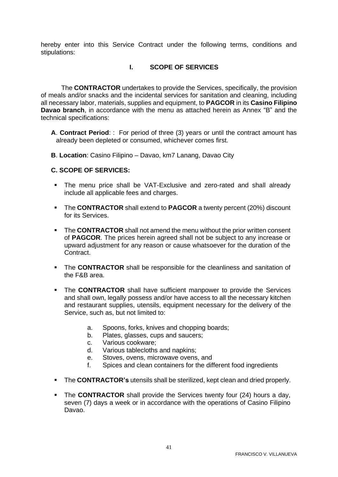hereby enter into this Service Contract under the following terms, conditions and stipulations:

#### **I. SCOPE OF SERVICES**

The **CONTRACTOR** undertakes to provide the Services, specifically, the provision of meals and/or snacks and the incidental services for sanitation and cleaning, including all necessary labor, materials, supplies and equipment, to **PAGCOR** in its **Casino Filipino Davao branch**, in accordance with the menu as attached herein as Annex "B" and the technical specifications:

- **A**. **Contract Period**: : For period of three (3) years or until the contract amount has already been depleted or consumed, whichever comes first.
- **B**. **Location**: Casino Filipino Davao, km7 Lanang, Davao City

#### **C. SCOPE OF SERVICES:**

- The menu price shall be VAT-Exclusive and zero-rated and shall already include all applicable fees and charges.
- The **CONTRACTOR** shall extend to **PAGCOR** a twenty percent (20%) discount for its Services.
- **The CONTRACTOR** shall not amend the menu without the prior written consent of **PAGCOR**. The prices herein agreed shall not be subject to any increase or upward adjustment for any reason or cause whatsoever for the duration of the Contract.
- **The CONTRACTOR** shall be responsible for the cleanliness and sanitation of the F&B area.
- **The CONTRACTOR** shall have sufficient manpower to provide the Services and shall own, legally possess and/or have access to all the necessary kitchen and restaurant supplies, utensils, equipment necessary for the delivery of the Service, such as, but not limited to:
	- a. Spoons, forks, knives and chopping boards;
	- b. Plates, glasses, cups and saucers;
	- c. Various cookware;
	- d. Various tablecloths and napkins;
	- e. Stoves, ovens, microwave ovens, and
	- f. Spices and clean containers for the different food ingredients
- The **CONTRACTOR's** utensils shall be sterilized, kept clean and dried properly.
- **The CONTRACTOR** shall provide the Services twenty four (24) hours a day, seven (7) days a week or in accordance with the operations of Casino Filipino Davao.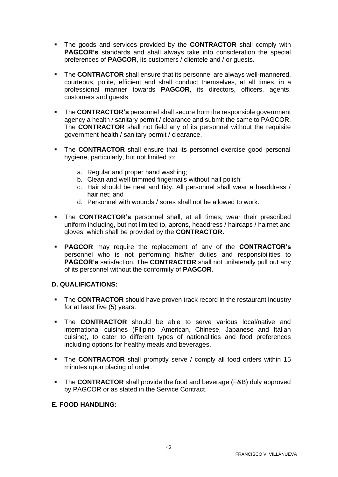- The goods and services provided by the **CONTRACTOR** shall comply with **PAGCOR's** standards and shall always take into consideration the special preferences of **PAGCOR**, its customers / clientele and / or guests.
- **The CONTRACTOR** shall ensure that its personnel are always well-mannered, courteous, polite, efficient and shall conduct themselves, at all times, in a professional manner towards **PAGCOR**, its directors, officers, agents, customers and guests.
- **The CONTRACTOR's** personnel shall secure from the responsible government agency a health / sanitary permit / clearance and submit the same to PAGCOR. The **CONTRACTOR** shall not field any of its personnel without the requisite government health / sanitary permit / clearance.
- **EXTER CONTRACTOR** shall ensure that its personnel exercise good personal hygiene, particularly, but not limited to:
	- a. Regular and proper hand washing;
	- b. Clean and well trimmed fingernails without nail polish;
	- c. Hair should be neat and tidy. All personnel shall wear a headdress / hair net; and
	- d. Personnel with wounds / sores shall not be allowed to work.
- The **CONTRACTOR's** personnel shall, at all times, wear their prescribed uniform including, but not limited to, aprons, headdress / haircaps / hairnet and gloves, which shall be provided by the **CONTRACTOR.**
- **PAGCOR** may require the replacement of any of the **CONTRACTOR's** personnel who is not performing his/her duties and responsibilities to **PAGCOR's** satisfaction. The **CONTRACTOR** shall not unilaterally pull out any of its personnel without the conformity of **PAGCOR**.

#### **D. QUALIFICATIONS:**

- **EXP** The **CONTRACTOR** should have proven track record in the restaurant industry for at least five (5) years.
- **EXTE:** The **CONTRACTOR** should be able to serve various local/native and international cuisines (Filipino, American, Chinese, Japanese and Italian cuisine), to cater to different types of nationalities and food preferences including options for healthy meals and beverages.
- The **CONTRACTOR** shall promptly serve / comply all food orders within 15 minutes upon placing of order.
- **EXTER CONTRACTOR** shall provide the food and beverage (F&B) duly approved by PAGCOR or as stated in the Service Contract.

#### **E. FOOD HANDLING:**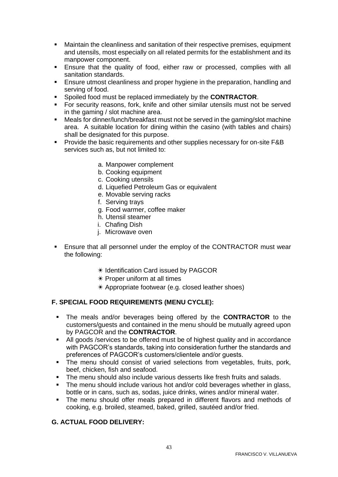- Maintain the cleanliness and sanitation of their respective premises, equipment and utensils, most especially on all related permits for the establishment and its manpower component.
- Ensure that the quality of food, either raw or processed, complies with all sanitation standards.
- Ensure utmost cleanliness and proper hygiene in the preparation, handling and serving of food.
- Spoiled food must be replaced immediately by the **CONTRACTOR**.
- For security reasons, fork, knife and other similar utensils must not be served in the gaming / slot machine area.
- Meals for dinner/lunch/breakfast must not be served in the gaming/slot machine area. A suitable location for dining within the casino (with tables and chairs) shall be designated for this purpose.
- Provide the basic requirements and other supplies necessary for on-site F&B services such as, but not limited to:
	- a. Manpower complement
	- b. Cooking equipment
	- c. Cooking utensils
	- d. Liquefied Petroleum Gas or equivalent
	- e. Movable serving racks
	- f. Serving trays
	- g. Food warmer, coffee maker
	- h. Utensil steamer
	- i. Chafing Dish
	- j. Microwave oven
- **Ensure that all personnel under the employ of the CONTRACTOR must wear** the following:
	- ✴ Identification Card issued by PAGCOR
	- $*$  Proper uniform at all times
	- ✴ Appropriate footwear (e.g. closed leather shoes)

#### **F. SPECIAL FOOD REQUIREMENTS (MENU CYCLE):**

- The meals and/or beverages being offered by the **CONTRACTOR** to the customers/guests and contained in the menu should be mutually agreed upon by PAGCOR and the **CONTRACTOR**.
- All goods / services to be offered must be of highest quality and in accordance with PAGCOR's standards, taking into consideration further the standards and preferences of PAGCOR's customers/clientele and/or guests.
- **The menu should consist of varied selections from vegetables, fruits, pork,** beef, chicken, fish and seafood.
- The menu should also include various desserts like fresh fruits and salads.
- The menu should include various hot and/or cold beverages whether in glass, bottle or in cans, such as, sodas, juice drinks, wines and/or mineral water.
- The menu should offer meals prepared in different flavors and methods of cooking, e.g. broiled, steamed, baked, grilled, sautéed and/or fried.

#### **G. ACTUAL FOOD DELIVERY:**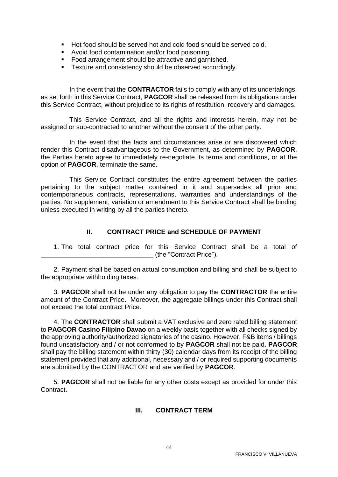- Hot food should be served hot and cold food should be served cold.
- Avoid food contamination and/or food poisoning.
- Food arrangement should be attractive and garnished.
- Texture and consistency should be observed accordingly.

In the event that the **CONTRACTOR** fails to comply with any of its undertakings, as set forth in this Service Contract, **PAGCOR** shall be released from its obligations under this Service Contract, without prejudice to its rights of restitution, recovery and damages.

This Service Contract, and all the rights and interests herein, may not be assigned or sub-contracted to another without the consent of the other party.

In the event that the facts and circumstances arise or are discovered which render this Contract disadvantageous to the Government, as determined by **PAGCOR**, the Parties hereto agree to immediately re-negotiate its terms and conditions, or at the option of **PAGCOR**, terminate the same.

This Service Contract constitutes the entire agreement between the parties pertaining to the subject matter contained in it and supersedes all prior and contemporaneous contracts, representations, warranties and understandings of the parties. No supplement, variation or amendment to this Service Contract shall be binding unless executed in writing by all the parties thereto.

#### **II. CONTRACT PRICE and SCHEDULE OF PAYMENT**

1. The total contract price for this Service Contract shall be a total of **\_\_\_\_\_\_\_\_\_\_\_\_\_\_\_\_\_\_\_\_\_\_\_\_\_\_\_\_\_\_\_** (the "Contract Price").

2. Payment shall be based on actual consumption and billing and shall be subject to the appropriate withholding taxes.

3. **PAGCOR** shall not be under any obligation to pay the **CONTRACTOR** the entire amount of the Contract Price. Moreover, the aggregate billings under this Contract shall not exceed the total contract Price.

4. The **CONTRACTOR** shall submit a VAT exclusive and zero rated billing statement to **PAGCOR Casino Filipino Davao** on a weekly basis together with all checks signed by the approving authority/authorized signatories of the casino. However, F&B items / billings found unsatisfactory and / or not conformed to by **PAGCOR** shall not be paid. **PAGCOR** shall pay the billing statement within thirty (30) calendar days from its receipt of the billing statement provided that any additional, necessary and / or required supporting documents are submitted by the CONTRACTOR and are verified by **PAGCOR**.

5. **PAGCOR** shall not be liable for any other costs except as provided for under this Contract.

#### **III. CONTRACT TERM**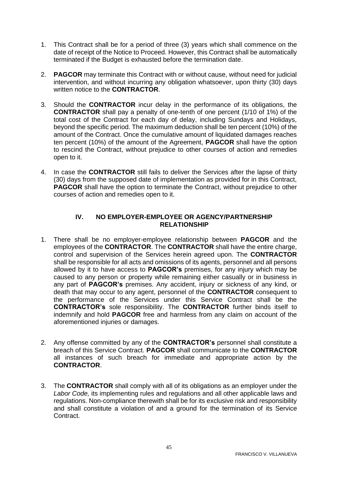- 1. This Contract shall be for a period of three (3) years which shall commence on the date of receipt of the Notice to Proceed. However, this Contract shall be automatically terminated if the Budget is exhausted before the termination date.
- 2. **PAGCOR** may terminate this Contract with or without cause, without need for judicial intervention, and without incurring any obligation whatsoever, upon thirty (30) days written notice to the **CONTRACTOR**.
- 3. Should the **CONTRACTOR** incur delay in the performance of its obligations, the **CONTRACTOR** shall pay a penalty of one-tenth of one percent (1/10 of 1%) of the total cost of the Contract for each day of delay, including Sundays and Holidays, beyond the specific period. The maximum deduction shall be ten percent (10%) of the amount of the Contract. Once the cumulative amount of liquidated damages reaches ten percent (10%) of the amount of the Agreement, **PAGCOR** shall have the option to rescind the Contract, without prejudice to other courses of action and remedies open to it.
- 4. In case the **CONTRACTOR** still fails to deliver the Services after the lapse of thirty (30) days from the supposed date of implementation as provided for in this Contract, **PAGCOR** shall have the option to terminate the Contract, without prejudice to other courses of action and remedies open to it.

#### **IV. NO EMPLOYER-EMPLOYEE OR AGENCY/PARTNERSHIP RELATIONSHIP**

- 1. There shall be no employer-employee relationship between **PAGCOR** and the employees of the **CONTRACTOR**. The **CONTRACTOR** shall have the entire charge, control and supervision of the Services herein agreed upon. The **CONTRACTOR** shall be responsible for all acts and omissions of its agents, personnel and all persons allowed by it to have access to **PAGCOR's** premises, for any injury which may be caused to any person or property while remaining either casually or in business in any part of **PAGCOR's** premises. Any accident, injury or sickness of any kind, or death that may occur to any agent, personnel of the **CONTRACTOR** consequent to the performance of the Services under this Service Contract shall be the **CONTRACTOR's** sole responsibility. The **CONTRACTOR** further binds itself to indemnify and hold **PAGCOR** free and harmless from any claim on account of the aforementioned injuries or damages.
- 2. Any offense committed by any of the **CONTRACTOR's** personnel shall constitute a breach of this Service Contract. **PAGCOR** shall communicate to the **CONTRACTOR** all instances of such breach for immediate and appropriate action by the **CONTRACTOR**.
- 3. The **CONTRACTOR** shall comply with all of its obligations as an employer under the Labor Code, its implementing rules and regulations and all other applicable laws and regulations. Non-compliance therewith shall be for its exclusive risk and responsibility and shall constitute a violation of and a ground for the termination of its Service Contract.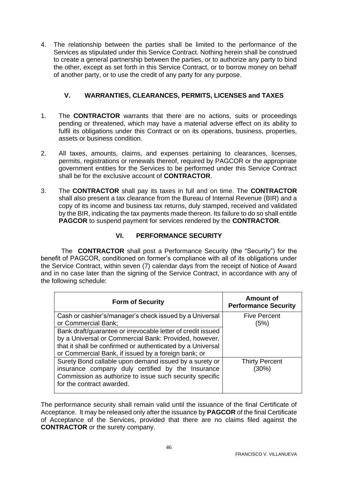4. The relationship between the parties shall be limited to the performance of the Services as stipulated under this Service Contract. Nothing herein shall be construed to create a general partnership between the parties, or to authorize any party to bind the other, except as set forth in this Service Contract, or to borrow money on behalf of another party, or to use the credit of any party for any purpose.

#### **V. WARRANTIES, CLEARANCES, PERMITS, LICENSES and TAXES**

- 1. The **CONTRACTOR** warrants that there are no actions, suits or proceedings pending or threatened, which may have a material adverse effect on its ability to fulfil its obligations under this Contract or on its operations, business, properties, assets or business condition.
- 2. All taxes, amounts, claims, and expenses pertaining to clearances, licenses, permits, registrations or renewals thereof, required by PAGCOR or the appropriate government entities for the Services to be performed under this Service Contract shall be for the exclusive account of **CONTRACTOR**.
- 3. The **CONTRACTOR** shall pay its taxes in full and on time. The **CONTRACTOR** shall also present a tax clearance from the Bureau of Internal Revenue (BIR) and a copy of its income and business tax returns, duly stamped, received and validated by the BIR, indicating the tax payments made thereon. Its failure to do so shall entitle **PAGCOR** to suspend payment for services rendered by the **CONTRACTOR**.

### **VI. PERFORMANCE SECURITY**

The **CONTRACTOR** shall post a Performance Security (the "Security") for the benefit of PAGCOR, conditioned on former's compliance with all of its obligations under the Service Contract, within seven (7) calendar days from the receipt of Notice of Award and in no case later than the signing of the Service Contract, in accordance with any of the following schedule:

| <b>Form of Security</b>                                                                                                                                                                                                                   | Amount of<br><b>Performance Security</b> |
|-------------------------------------------------------------------------------------------------------------------------------------------------------------------------------------------------------------------------------------------|------------------------------------------|
| Cash or cashier's/manager's check issued by a Universal<br>or Commercial Bank;                                                                                                                                                            | <b>Five Percent</b><br>(5%)              |
| Bank draft/guarantee or irrevocable letter of credit issued<br>by a Universal or Commercial Bank: Provided, however,<br>that it shall be confirmed or authenticated by a Universal<br>or Commercial Bank, if issued by a foreign bank; or |                                          |
| Surety Bond callable upon demand issued by a surety or<br>insurance company duly certified by the Insurance<br>Commission as authorize to issue such security specific<br>for the contract awarded.                                       | <b>Thirty Percent</b><br>(30%)           |

The performance security shall remain valid until the issuance of the final Certificate of Acceptance. It may be released only after the issuance by **PAGCOR** of the final Certificate of Acceptance of the Services, provided that there are no claims filed against the **CONTRACTOR** or the surety company.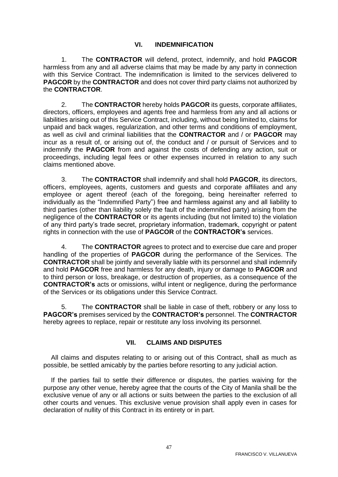#### **VI. INDEMNIFICATION**

1. The **CONTRACTOR** will defend, protect, indemnify, and hold **PAGCOR** harmless from any and all adverse claims that may be made by any party in connection with this Service Contract. The indemnification is limited to the services delivered to **PAGCOR** by the **CONTRACTOR** and does not cover third party claims not authorized by the **CONTRACTOR**.

2. The **CONTRACTOR** hereby holds **PAGCOR** its guests, corporate affiliates, directors, officers, employees and agents free and harmless from any and all actions or liabilities arising out of this Service Contract, including, without being limited to, claims for unpaid and back wages, regularization, and other terms and conditions of employment, as well as civil and criminal liabilities that the **CONTRACTOR** and / or **PAGCOR** may incur as a result of, or arising out of, the conduct and / or pursuit of Services and to indemnify the **PAGCOR** from and against the costs of defending any action, suit or proceedings, including legal fees or other expenses incurred in relation to any such claims mentioned above.

3. The **CONTRACTOR** shall indemnify and shall hold **PAGCOR**, its directors, officers, employees, agents, customers and guests and corporate affiliates and any employee or agent thereof (each of the foregoing, being hereinafter referred to individually as the "Indemnified Party") free and harmless against any and all liability to third parties (other than liability solely the fault of the indemnified party) arising from the negligence of the **CONTRACTOR** or its agents including (but not limited to) the violation of any third party's trade secret, proprietary information, trademark, copyright or patent rights in connection with the use of **PAGCOR** of the **CONTRACTOR's** services.

4. The **CONTRACTOR** agrees to protect and to exercise due care and proper handling of the properties of **PAGCOR** during the performance of the Services. The **CONTRACTOR** shall be jointly and severally liable with its personnel and shall indemnify and hold **PAGCOR** free and harmless for any death, injury or damage to **PAGCOR** and to third person or loss, breakage, or destruction of properties, as a consequence of the **CONTRACTOR's** acts or omissions, wilful intent or negligence, during the performance of the Services or its obligations under this Service Contract.

5. The **CONTRACTOR** shall be liable in case of theft, robbery or any loss to **PAGCOR's** premises serviced by the **CONTRACTOR's** personnel. The **CONTRACTOR**  hereby agrees to replace, repair or restitute any loss involving its personnel.

#### **VII. CLAIMS AND DISPUTES**

All claims and disputes relating to or arising out of this Contract, shall as much as possible, be settled amicably by the parties before resorting to any judicial action.

If the parties fail to settle their difference or disputes, the parties waiving for the purpose any other venue, hereby agree that the courts of the City of Manila shall be the exclusive venue of any or all actions or suits between the parties to the exclusion of all other courts and venues. This exclusive venue provision shall apply even in cases for declaration of nullity of this Contract in its entirety or in part.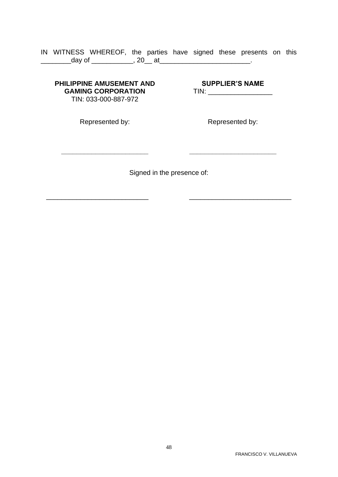#### IN WITNESS WHEREOF, the parties have signed these presents on this \_\_\_\_\_\_\_\_\_\_\_\_day of \_\_\_\_\_\_\_\_\_\_\_\_\_, 20\_\_ at\_\_\_\_\_\_\_\_\_\_\_\_\_\_\_\_\_\_\_\_\_\_\_\_\_\_\_\_\_.

#### **PHILIPPINE AMUSEMENT AND GAMING CORPORATION** TIN: 033-000-887-972

# **SUPPLIER'S NAME** TIN: \_\_\_\_\_\_\_\_\_\_\_\_\_\_\_\_\_

Represented by:

**\_\_\_\_\_\_\_\_\_\_\_\_\_\_\_\_\_\_\_\_\_\_\_**

Represented by:

**\_\_\_\_\_\_\_\_\_\_\_\_\_\_\_\_\_\_\_\_\_\_\_**

Signed in the presence of:

\_\_\_\_\_\_\_\_\_\_\_\_\_\_\_\_\_\_\_\_\_\_\_\_\_\_\_ \_\_\_\_\_\_\_\_\_\_\_\_\_\_\_\_\_\_\_\_\_\_\_\_\_\_\_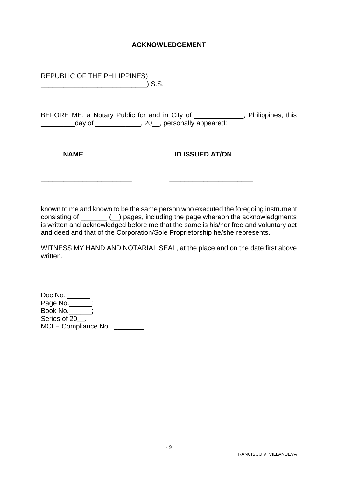#### **ACKNOWLEDGEMENT**

REPUBLIC OF THE PHILIPPINES) \_\_\_\_\_\_\_\_\_\_\_\_\_\_\_\_\_\_\_\_\_\_\_\_\_\_\_\_) S.S.

BEFORE ME, a Notary Public for and in City of \_\_\_\_\_\_\_\_\_\_\_\_\_, Philippines, this \_\_\_\_\_\_\_\_\_day of \_\_\_\_\_\_\_\_\_\_\_\_, 20\_\_, personally appeared:

**NAME ID ISSUED AT/ON** 

known to me and known to be the same person who executed the foregoing instrument consisting of \_\_\_\_\_\_\_ (\_\_) pages, including the page whereon the acknowledgments is written and acknowledged before me that the same is his/her free and voluntary act and deed and that of the Corporation/Sole Proprietorship he/she represents.

\_\_\_\_\_\_\_\_\_\_\_\_\_\_\_\_\_\_\_\_\_\_\_\_ \_\_\_\_\_\_\_\_\_\_\_\_\_\_\_\_\_\_\_\_\_\_

WITNESS MY HAND AND NOTARIAL SEAL, at the place and on the date first above written.

Doc No. \_\_\_\_\_\_; Page No.\_\_\_\_\_\_: Book No.\_\_\_\_\_\_; Series of 20<sup>.</sup> MCLE Compliance No.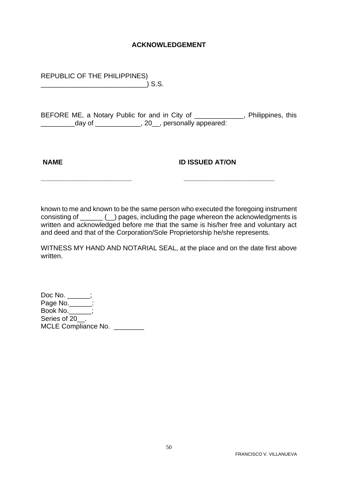#### **ACKNOWLEDGEMENT**

REPUBLIC OF THE PHILIPPINES) \_\_\_\_\_\_\_\_\_\_\_\_\_\_\_\_\_\_\_\_\_\_\_\_\_\_\_\_) S.S.

BEFORE ME, a Notary Public for and in City of \_\_\_\_\_\_\_\_\_\_\_\_, Philippines, this \_\_\_\_\_\_\_\_\_day of \_\_\_\_\_\_\_\_\_\_\_\_, 20\_\_, personally appeared:

#### **NAME ID ISSUED AT/ON**

known to me and known to be the same person who executed the foregoing instrument consisting of \_\_\_\_\_\_ (\_\_) pages, including the page whereon the acknowledgments is written and acknowledged before me that the same is his/her free and voluntary act and deed and that of the Corporation/Sole Proprietorship he/she represents.

**\_\_\_\_\_\_\_\_\_\_\_\_\_\_\_\_\_\_\_\_\_\_\_\_ \_\_\_\_\_\_\_\_\_\_\_\_\_\_\_\_\_\_\_\_\_\_\_\_**

WITNESS MY HAND AND NOTARIAL SEAL, at the place and on the date first above written.

Doc No. \_\_\_\_\_\_; Page No.\_\_\_\_\_\_: Book No.\_\_\_\_\_\_; Series of 20<sup>.</sup> MCLE Compliance No.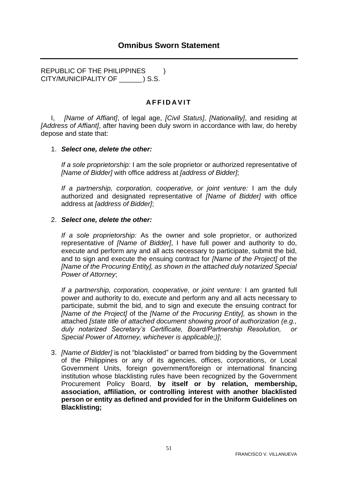<span id="page-50-0"></span>REPUBLIC OF THE PHILIPPINES ) CITY/MUNICIPALITY OF \_\_\_\_\_\_ ) S.S.

### **A F F I D A V I T**

I, *[Name of Affiant]*, of legal age, *[Civil Status]*, *[Nationality]*, and residing at *[Address of Affiant]*, after having been duly sworn in accordance with law, do hereby depose and state that:

#### 1. *Select one, delete the other:*

*If a sole proprietorship:* I am the sole proprietor or authorized representative of *[Name of Bidder]* with office address at *[address of Bidder]*;

*If a partnership, corporation, cooperative, or joint venture:* I am the duly authorized and designated representative of *[Name of Bidder]* with office address at *[address of Bidder]*;

#### 2. *Select one, delete the other:*

*If a sole proprietorship:* As the owner and sole proprietor, or authorized representative of *[Name of Bidder]*, I have full power and authority to do, execute and perform any and all acts necessary to participate, submit the bid, and to sign and execute the ensuing contract for *[Name of the Project]* of the *[Name of the Procuring Entity], as shown in the attached duly notarized Special Power of Attorney*;

*If a partnership, corporation, cooperative, or joint venture:* I am granted full power and authority to do, execute and perform any and all acts necessary to participate, submit the bid, and to sign and execute the ensuing contract for *[Name of the Project]* of the *[Name of the Procuring Entity],* as shown in the attached *[state title of attached document showing proof of authorization (e.g., duly notarized Secretary's Certificate, Board/Partnership Resolution, or Special Power of Attorney, whichever is applicable;)]*;

3. *[Name of Bidder]* is not "blacklisted" or barred from bidding by the Government of the Philippines or any of its agencies, offices, corporations, or Local Government Units, foreign government/foreign or international financing institution whose blacklisting rules have been recognized by the Government Procurement Policy Board, **by itself or by relation, membership, association, affiliation, or controlling interest with another blacklisted person or entity as defined and provided for in the Uniform Guidelines on Blacklisting;**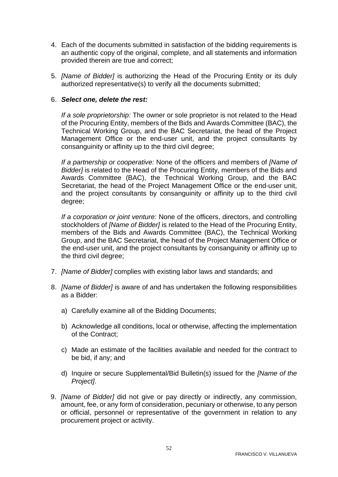- 4. Each of the documents submitted in satisfaction of the bidding requirements is an authentic copy of the original, complete, and all statements and information provided therein are true and correct;
- 5. *[Name of Bidder]* is authorizing the Head of the Procuring Entity or its duly authorized representative(s) to verify all the documents submitted;

#### 6. *Select one, delete the rest:*

*If a sole proprietorship:* The owner or sole proprietor is not related to the Head of the Procuring Entity, members of the Bids and Awards Committee (BAC), the Technical Working Group, and the BAC Secretariat, the head of the Project Management Office or the end-user unit, and the project consultants by consanguinity or affinity up to the third civil degree;

*If a partnership or cooperative:* None of the officers and members of *[Name of Bidder]* is related to the Head of the Procuring Entity, members of the Bids and Awards Committee (BAC), the Technical Working Group, and the BAC Secretariat, the head of the Project Management Office or the end-user unit, and the project consultants by consanguinity or affinity up to the third civil degree;

*If a corporation or joint venture:* None of the officers, directors, and controlling stockholders of *[Name of Bidder]* is related to the Head of the Procuring Entity, members of the Bids and Awards Committee (BAC), the Technical Working Group, and the BAC Secretariat, the head of the Project Management Office or the end-user unit, and the project consultants by consanguinity or affinity up to the third civil degree;

- 7. *[Name of Bidder]* complies with existing labor laws and standards; and
- 8. *[Name of Bidder]* is aware of and has undertaken the following responsibilities as a Bidder:
	- a) Carefully examine all of the Bidding Documents;
	- b) Acknowledge all conditions, local or otherwise, affecting the implementation of the Contract;
	- c) Made an estimate of the facilities available and needed for the contract to be bid, if any; and
	- d) Inquire or secure Supplemental/Bid Bulletin(s) issued for the *[Name of the Project]*.
- 9. *[Name of Bidder]* did not give or pay directly or indirectly, any commission, amount, fee, or any form of consideration, pecuniary or otherwise, to any person or official, personnel or representative of the government in relation to any procurement project or activity.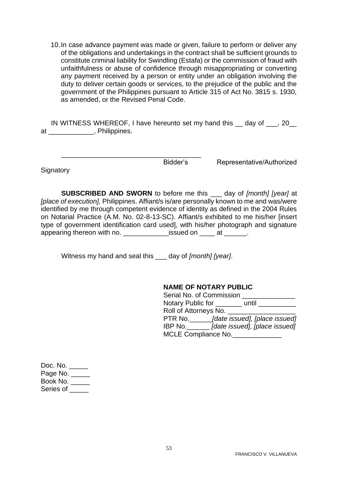10.In case advance payment was made or given, failure to perform or deliver any of the obligations and undertakings in the contract shall be sufficient grounds to constitute criminal liability for Swindling (Estafa) or the commission of fraud with unfaithfulness or abuse of confidence through misappropriating or converting any payment received by a person or entity under an obligation involving the duty to deliver certain goods or services, to the prejudice of the public and the government of the Philippines pursuant to Article 315 of Act No. 3815 s. 1930, as amended, or the Revised Penal Code.

IN WITNESS WHEREOF, I have hereunto set my hand this \_\_ day of \_\_\_, 20\_\_ at \_\_\_\_\_\_\_\_\_\_\_\_, Philippines.

**Signatory** 

Bidder's Representative/Authorized

**SUBSCRIBED AND SWORN** to before me this \_\_\_ day of *[month] [year]* at *[place of execution],* Philippines. Affiant/s is/are personally known to me and was/were identified by me through competent evidence of identity as defined in the 2004 Rules on Notarial Practice (A.M. No. 02-8-13-SC). Affiant/s exhibited to me his/her [insert type of government identification card used], with his/her photograph and signature appearing thereon with no. The same issued on the at the same of the same state.

Witness my hand and seal this \_\_\_ day of *[month] [year]*.

\_\_\_\_\_\_\_\_\_\_\_\_\_\_\_\_\_\_\_\_\_\_\_\_\_\_\_\_\_\_\_\_\_\_\_\_\_

#### **NAME OF NOTARY PUBLIC**

| Serial No. of Commission                   |                               |  |  |  |  |
|--------------------------------------------|-------------------------------|--|--|--|--|
| Notary Public for                          | until                         |  |  |  |  |
| Roll of Attorneys No.                      |                               |  |  |  |  |
| PTR No.                                    | [date issued], [place issued] |  |  |  |  |
| [date issued], [place issued]<br>$IBP$ No. |                               |  |  |  |  |
| <b>MCLE Compliance No.</b>                 |                               |  |  |  |  |

| Doc. No.   |
|------------|
| Page No. _ |
| Book No.   |
| Series of  |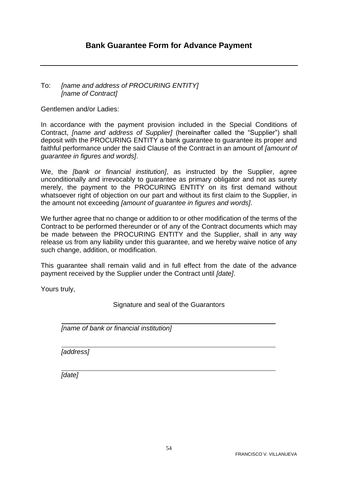#### <span id="page-53-0"></span>To: *[name and address of PROCURING ENTITY] [name of Contract]*

Gentlemen and/or Ladies:

In accordance with the payment provision included in the Special Conditions of Contract, *[name and address of Supplier]* (hereinafter called the "Supplier") shall deposit with the PROCURING ENTITY a bank guarantee to guarantee its proper and faithful performance under the said Clause of the Contract in an amount of *[amount of guarantee in figures and words]*.

We, the *[bank or financial institution]*, as instructed by the Supplier, agree unconditionally and irrevocably to guarantee as primary obligator and not as surety merely, the payment to the PROCURING ENTITY on its first demand without whatsoever right of objection on our part and without its first claim to the Supplier, in the amount not exceeding *[amount of guarantee in figures and words]*.

We further agree that no change or addition to or other modification of the terms of the Contract to be performed thereunder or of any of the Contract documents which may be made between the PROCURING ENTITY and the Supplier, shall in any way release us from any liability under this guarantee, and we hereby waive notice of any such change, addition, or modification.

This guarantee shall remain valid and in full effect from the date of the advance payment received by the Supplier under the Contract until *[date]*.

Yours truly,

Signature and seal of the Guarantors

*[name of bank or financial institution]*

*[address]*

*[date]*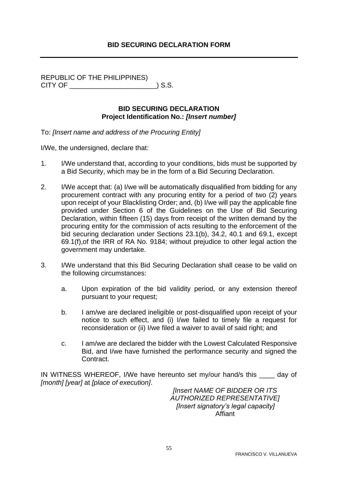### **BID SECURING DECLARATION FORM**

<span id="page-54-0"></span>REPUBLIC OF THE PHILIPPINES) CITY OF \_\_\_\_\_\_\_\_\_\_\_\_\_\_\_\_\_\_\_\_\_\_\_) S.S.

#### **BID SECURING DECLARATION Project Identification No.:** *[Insert number]*

To: *[Insert name and address of the Procuring Entity]*

I/We, the undersigned, declare that:

- 1. I/We understand that, according to your conditions, bids must be supported by a Bid Security, which may be in the form of a Bid Securing Declaration.
- 2. I/We accept that: (a) I/we will be automatically disqualified from bidding for any procurement contract with any procuring entity for a period of two (2) years upon receipt of your Blacklisting Order; and, (b) I/we will pay the applicable fine provided under Section 6 of the Guidelines on the Use of Bid Securing Declaration, within fifteen (15) days from receipt of the written demand by the procuring entity for the commission of acts resulting to the enforcement of the bid securing declaration under Sections 23.1(b), 34.2, 40.1 and 69.1, except 69.1(f),of the IRR of RA No. 9184; without prejudice to other legal action the government may undertake.
- 3. I/We understand that this Bid Securing Declaration shall cease to be valid on the following circumstances:
	- a. Upon expiration of the bid validity period, or any extension thereof pursuant to your request;
	- b. I am/we are declared ineligible or post-disqualified upon receipt of your notice to such effect, and (i) I/we failed to timely file a request for reconsideration or (ii) I/we filed a waiver to avail of said right; and
	- c. I am/we are declared the bidder with the Lowest Calculated Responsive Bid, and I/we have furnished the performance security and signed the Contract.

IN WITNESS WHEREOF, I/We have hereunto set my/our hand/s this day of *[month] [year]* at *[place of execution]*.

*[Insert NAME OF BIDDER OR ITS AUTHORIZED REPRESENTATIVE] [Insert signatory's legal capacity]* Affiant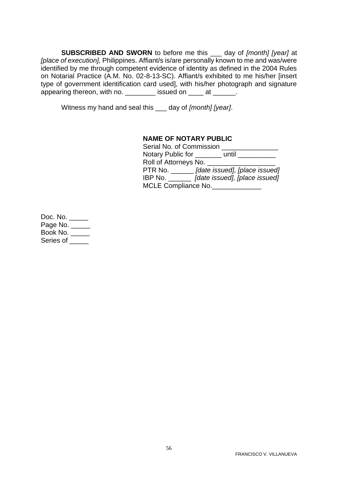**SUBSCRIBED AND SWORN** to before me this \_\_\_ day of *[month] [year]* at *[place of execution],* Philippines. Affiant/s is/are personally known to me and was/were identified by me through competent evidence of identity as defined in the 2004 Rules on Notarial Practice (A.M. No. 02-8-13-SC). Affiant/s exhibited to me his/her [insert type of government identification card used], with his/her photograph and signature appearing thereon, with no. \_\_\_\_\_\_\_\_\_ issued on \_\_\_\_ at \_\_\_\_\_\_.

Witness my hand and seal this \_\_\_ day of *[month] [year]*.

#### **NAME OF NOTARY PUBLIC**

| Serial No. of Commission  |                               |  |  |  |  |
|---------------------------|-------------------------------|--|--|--|--|
| Notary Public for         | until                         |  |  |  |  |
| Roll of Attorneys No.     |                               |  |  |  |  |
| PTR No. $\_\_\_\_\_\_\_\$ | [date issued], [place issued] |  |  |  |  |
| IBP No.                   | [date issued], [place issued] |  |  |  |  |
| MCLE Compliance No.       |                               |  |  |  |  |

Doc. No. \_\_\_\_\_ Page No. \_\_\_\_\_ Book No. \_\_\_\_\_ Series of \_\_\_\_\_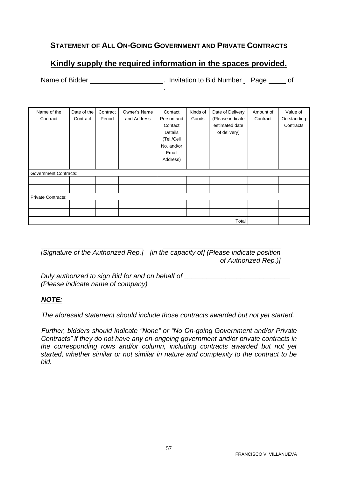# <span id="page-56-0"></span>**STATEMENT OF ALL ON-GOING GOVERNMENT AND PRIVATE CONTRACTS**

# **Kindly supply the required information in the spaces provided.**

Name of Bidder **Name of Bidder .** Invitation to Bid Number . Page of .

| Name of the                  | Date of the | Contract | Owner's Name | Contact    | Kinds of | Date of Delivery | Amount of | Value of    |
|------------------------------|-------------|----------|--------------|------------|----------|------------------|-----------|-------------|
| Contract                     | Contract    | Period   | and Address  | Person and | Goods    | (Please indicate | Contract  | Outstanding |
|                              |             |          |              | Contact    |          | estimated date   |           | Contracts   |
|                              |             |          |              | Details    |          | of delivery)     |           |             |
|                              |             |          |              | (Tel./Cell |          |                  |           |             |
|                              |             |          |              | No. and/or |          |                  |           |             |
|                              |             |          |              | Email      |          |                  |           |             |
|                              |             |          |              | Address)   |          |                  |           |             |
|                              |             |          |              |            |          |                  |           |             |
| <b>Government Contracts:</b> |             |          |              |            |          |                  |           |             |
|                              |             |          |              |            |          |                  |           |             |
|                              |             |          |              |            |          |                  |           |             |
| <b>Private Contracts:</b>    |             |          |              |            |          |                  |           |             |
|                              |             |          |              |            |          |                  |           |             |
|                              |             |          |              |            |          |                  |           |             |
|                              | Total       |          |              |            |          |                  |           |             |

*[Signature of the Authorized Rep.] [in the capacity of] (Please indicate position of Authorized Rep.)]*

*Duly authorized to sign Bid for and on behalf of (Please indicate name of company)*

### *NOTE:*

*The aforesaid statement should include those contracts awarded but not yet started.*

*Further, bidders should indicate "None" or "No On-going Government and/or Private Contracts" if they do not have any on-ongoing government and/or private contracts in the corresponding rows and/or column, including contracts awarded but not yet started, whether similar or not similar in nature and complexity to the contract to be bid.*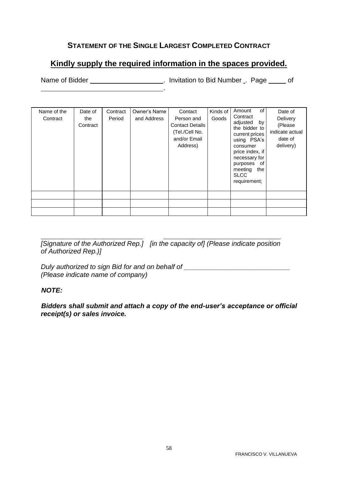# **STATEMENT OF THE SINGLE LARGEST COMPLETED CONTRACT**

# <span id="page-57-0"></span>**Kindly supply the required information in the spaces provided.**

.

Name of Bidder **Name of Bidder Name of Bidder name is a structure of the United Structure Control of America** Control of America Control of America Control of America Control of America Control of America Control of Am

| Name of the<br>Contract | Date of<br>the<br>Contract | Contract<br>Period | Owner's Name<br>and Address | Contact<br>Person and<br><b>Contact Details</b><br>(Tel./Cell No.<br>and/or Email<br>Address) | Kinds of<br>Goods | of<br>Amount<br>Contract<br>adjusted<br>by<br>the bidder to<br>current prices<br>using PSA's<br>consumer<br>price index, if<br>necessary for<br>purposes of<br>meeting<br>the<br><b>SLCC</b><br>requirement; | Date of<br>Delivery<br>(Please<br>indicate actual<br>date of<br>delivery) |
|-------------------------|----------------------------|--------------------|-----------------------------|-----------------------------------------------------------------------------------------------|-------------------|--------------------------------------------------------------------------------------------------------------------------------------------------------------------------------------------------------------|---------------------------------------------------------------------------|
|                         |                            |                    |                             |                                                                                               |                   |                                                                                                                                                                                                              |                                                                           |
|                         |                            |                    |                             |                                                                                               |                   |                                                                                                                                                                                                              |                                                                           |
|                         |                            |                    |                             |                                                                                               |                   |                                                                                                                                                                                                              |                                                                           |

*[Signature of the Authorized Rep.] [in the capacity of] (Please indicate position of Authorized Rep.)]*

*Duly authorized to sign Bid for and on behalf of \_\_\_\_\_\_\_\_\_\_\_\_\_\_\_\_\_\_\_\_\_\_\_\_\_\_\_\_ (Please indicate name of company)*

#### *NOTE:*

*Bidders shall submit and attach a copy of the end-user's acceptance or official receipt(s) or sales invoice.*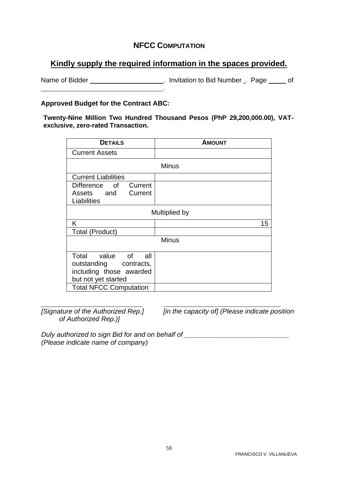### **NFCC COMPUTATION**

# <span id="page-58-0"></span>**Kindly supply the required information in the spaces provided.**

Name of Bidder \_\_\_\_\_\_\_\_\_\_\_\_\_\_\_\_\_\_\_\_\_\_\_. Invitation to Bid Number \_. Page \_\_\_\_\_ of .

#### **Approved Budget for the Contract ABC:**

**Twenty-Nine Million Two Hundred Thousand Pesos (PhP 29,200,000.00), VATexclusive, zero-rated Transaction.**

| <b>DETAILS</b>                                                                                                                  | <b>AMOUNT</b> |
|---------------------------------------------------------------------------------------------------------------------------------|---------------|
| <b>Current Assets</b>                                                                                                           |               |
|                                                                                                                                 | <b>Minus</b>  |
| <b>Current Liabilities</b>                                                                                                      |               |
| Current<br>Difference of<br>Assets and Current<br>Liabilities                                                                   |               |
|                                                                                                                                 | Multiplied by |
| Κ                                                                                                                               | 15            |
| <b>Total (Product)</b>                                                                                                          |               |
|                                                                                                                                 | <b>Minus</b>  |
| Total value of all<br>outstanding contracts,<br>including those awarded<br>but not yet started<br><b>Total NFCC Computation</b> |               |

*of Authorized Rep.)]*

*[Signature of the Authorized Rep.] [in the capacity of] (Please indicate position* 

*Duly authorized to sign Bid for and on behalf of <i>\_\_\_\_\_\_\_\_\_\_\_\_\_\_\_\_\_\_\_\_\_\_\_\_\_\_\_\_\_\_ (Please indicate name of company)*